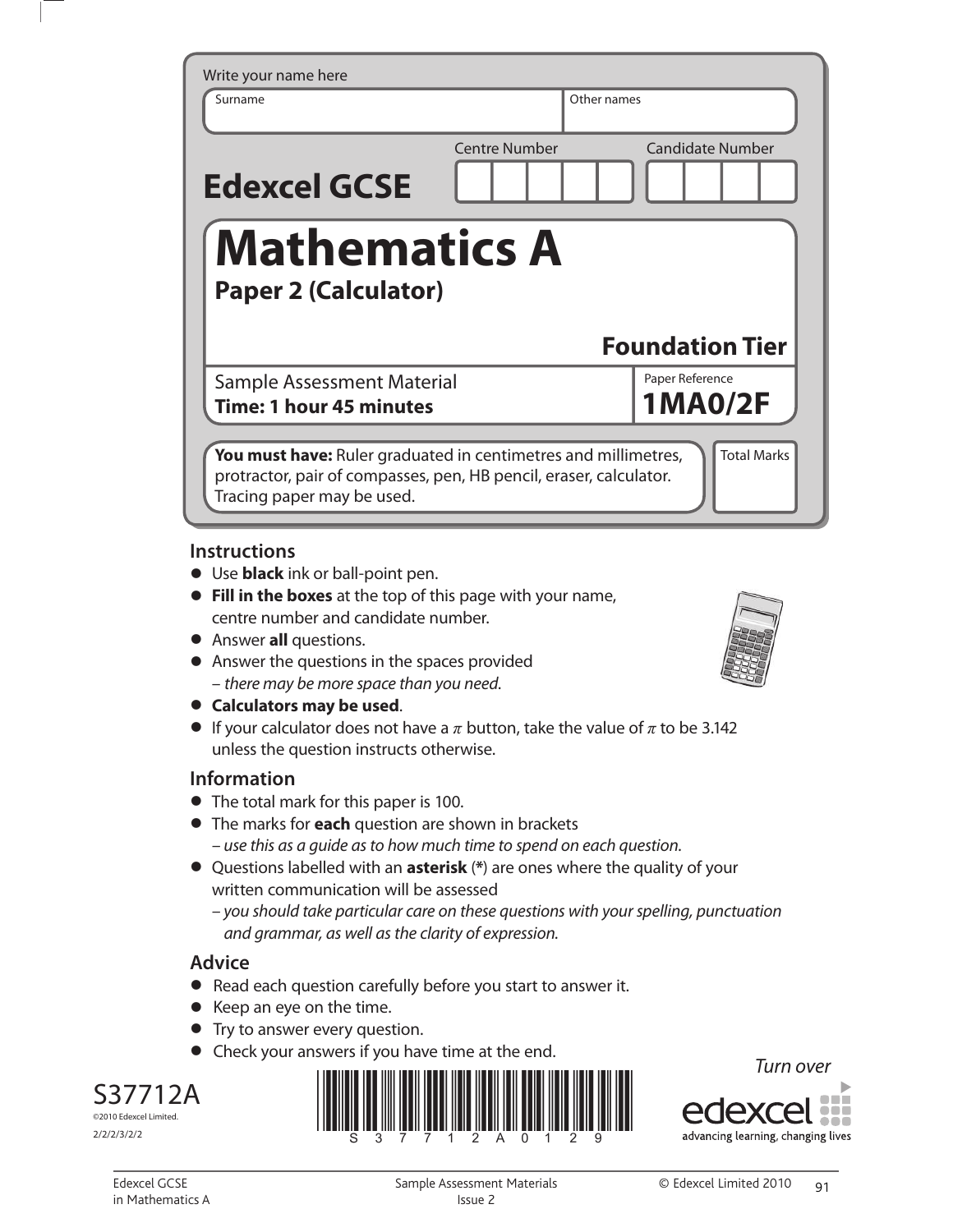| Write your name here                                                                                                                                               |                      |                         |
|--------------------------------------------------------------------------------------------------------------------------------------------------------------------|----------------------|-------------------------|
| Surname                                                                                                                                                            | Other names          |                         |
| <b>Edexcel GCSE</b>                                                                                                                                                | <b>Centre Number</b> | <b>Candidate Number</b> |
| Mathematics A<br><b>Paper 2 (Calculator)</b>                                                                                                                       |                      | <b>Foundation Tier</b>  |
| Sample Assessment Material                                                                                                                                         |                      | Paper Reference         |
| Time: 1 hour 45 minutes                                                                                                                                            |                      | <b>1MA0/2F</b>          |
|                                                                                                                                                                    |                      |                         |
| You must have: Ruler graduated in centimetres and millimetres,<br>protractor, pair of compasses, pen, HB pencil, eraser, calculator.<br>Tracing paper may be used. |                      | <b>Total Marks</b>      |

#### **Instructions**

- **•** Use **black** ink or ball-point pen.
- **• Fill in the boxes** at the top of this page with your name, centre number and candidate number.
- **•** Answer **all** questions.
- **•** Answer the questions in the spaces provided – there may be more space than you need.
- **• Calculators may be used**.
- **Calculators may be used**.<br>• If your calculator does not have a  $\pi$  button, take the value of  $\pi$  to be 3.142 unless the question instructs otherwise.

## **Information**

- **•** The total mark for this paper is 100.
- **•** The marks for **each** question are shown in brackets – use this as a guide as to how much time to spend on each question.
- **•** Questions labelled with an **asterisk** (**\***) are ones where the quality of your written communication will be assessed
	- you should take particular care on these questions with your spelling, punctuation and grammar, as well as the clarity of expression.

## **Advice**

- **Advice**<br>● Read each question carefully before you start to answer it.
- Read each question caref<br>• Keep an eye on the time.
- Keep an eye on the time.<br>• Try to answer every question.
- **•** Check your answers if you have time at the end.



2/2/2/3/2/2





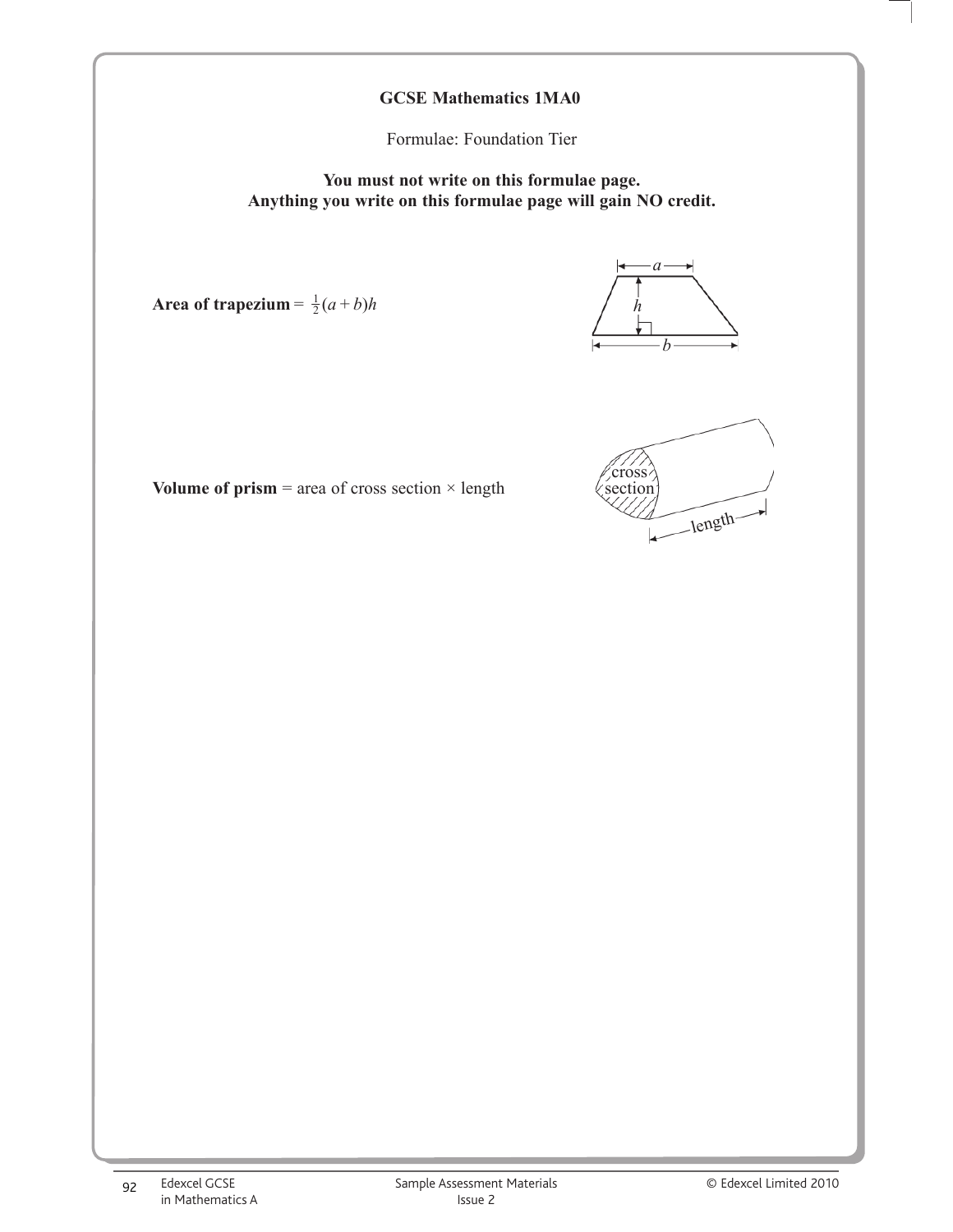#### **GCSE Mathematics 2544 GCSE Mathematics 1MA0**

Formulae: Foundation Tier

**You must not write on this formulae page. Anything you write on this formulae page will gain NO credit.**

Area of trapezium =  $\frac{1}{2}(a+b)h$ 





**Volume of prism** = area of cross section  $\times$  length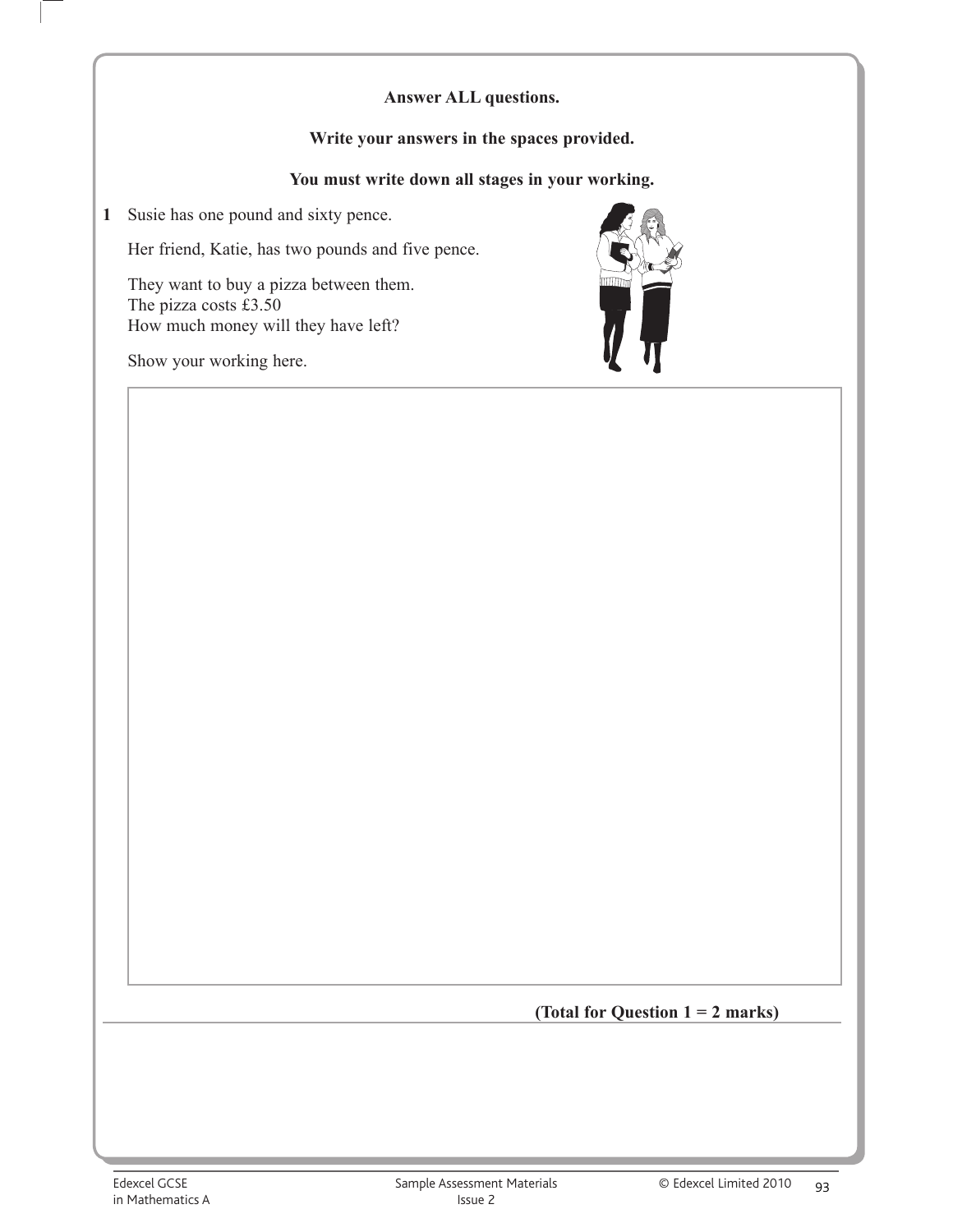## **Answer ALL questions.**

## **Write your answers in the spaces provided.**

#### **You must write down all stages in your working.**

**1** Susie has one pound and sixty pence.

Her friend, Katie, has two pounds and five pence.

 They want to buy a pizza between them. The pizza costs £3.50 How much money will they have left?

Show your working here.



#### **(Total for Question 1 = 2 marks)**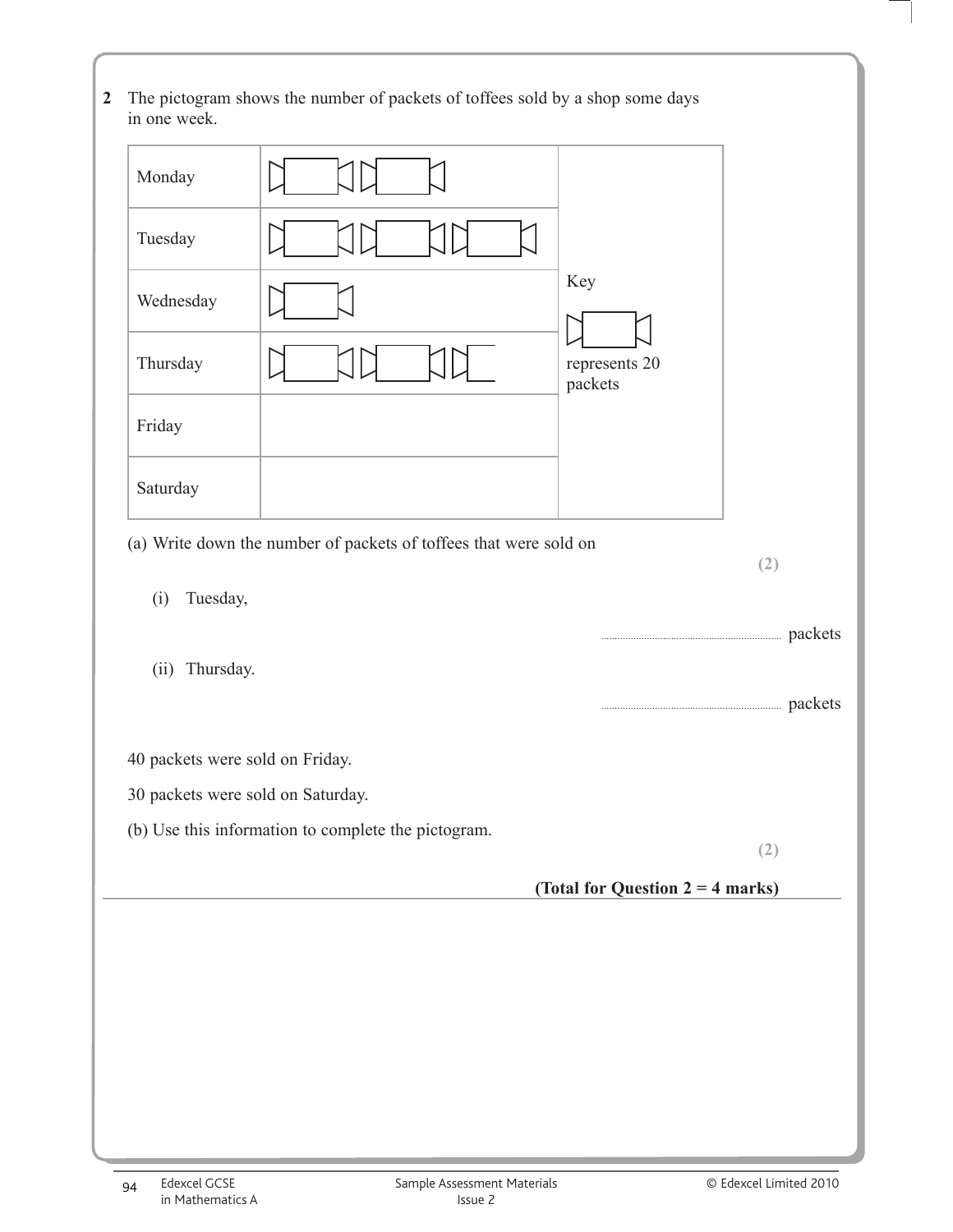**2** The pictogram shows the number of packets of toffees sold by a shop some days in one week.

| Tuesday<br>Key<br>Wednesday<br>Thursday<br>represents 20<br>packets<br>Friday<br>Saturday<br>(a) Write down the number of packets of toffees that were sold on<br>(2)<br>Tuesday,<br>(i)<br>manufacture and packets<br>(ii)<br>Thursday.<br>manufactured and packets<br>40 packets were sold on Friday.<br>30 packets were sold on Saturday.<br>(b) Use this information to complete the pictogram.<br>(2)<br>(Total for Question $2 = 4$ marks) | Monday |  |  |  |  |  |  |
|--------------------------------------------------------------------------------------------------------------------------------------------------------------------------------------------------------------------------------------------------------------------------------------------------------------------------------------------------------------------------------------------------------------------------------------------------|--------|--|--|--|--|--|--|
|                                                                                                                                                                                                                                                                                                                                                                                                                                                  |        |  |  |  |  |  |  |
|                                                                                                                                                                                                                                                                                                                                                                                                                                                  |        |  |  |  |  |  |  |
|                                                                                                                                                                                                                                                                                                                                                                                                                                                  |        |  |  |  |  |  |  |
|                                                                                                                                                                                                                                                                                                                                                                                                                                                  |        |  |  |  |  |  |  |
|                                                                                                                                                                                                                                                                                                                                                                                                                                                  |        |  |  |  |  |  |  |
|                                                                                                                                                                                                                                                                                                                                                                                                                                                  |        |  |  |  |  |  |  |
|                                                                                                                                                                                                                                                                                                                                                                                                                                                  |        |  |  |  |  |  |  |
|                                                                                                                                                                                                                                                                                                                                                                                                                                                  |        |  |  |  |  |  |  |
|                                                                                                                                                                                                                                                                                                                                                                                                                                                  |        |  |  |  |  |  |  |
|                                                                                                                                                                                                                                                                                                                                                                                                                                                  |        |  |  |  |  |  |  |
|                                                                                                                                                                                                                                                                                                                                                                                                                                                  |        |  |  |  |  |  |  |
|                                                                                                                                                                                                                                                                                                                                                                                                                                                  |        |  |  |  |  |  |  |
|                                                                                                                                                                                                                                                                                                                                                                                                                                                  |        |  |  |  |  |  |  |
|                                                                                                                                                                                                                                                                                                                                                                                                                                                  |        |  |  |  |  |  |  |
|                                                                                                                                                                                                                                                                                                                                                                                                                                                  |        |  |  |  |  |  |  |
|                                                                                                                                                                                                                                                                                                                                                                                                                                                  |        |  |  |  |  |  |  |
|                                                                                                                                                                                                                                                                                                                                                                                                                                                  |        |  |  |  |  |  |  |
|                                                                                                                                                                                                                                                                                                                                                                                                                                                  |        |  |  |  |  |  |  |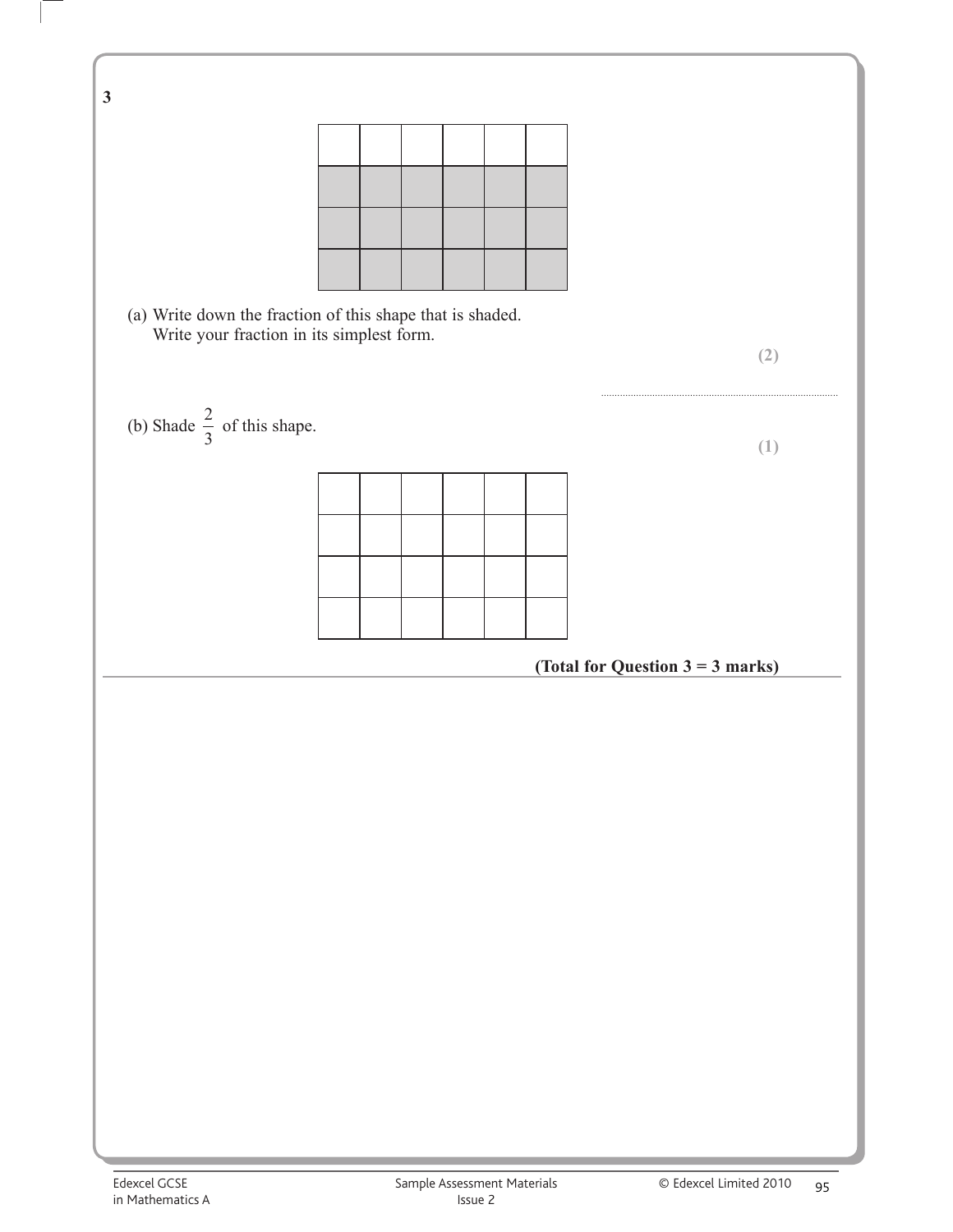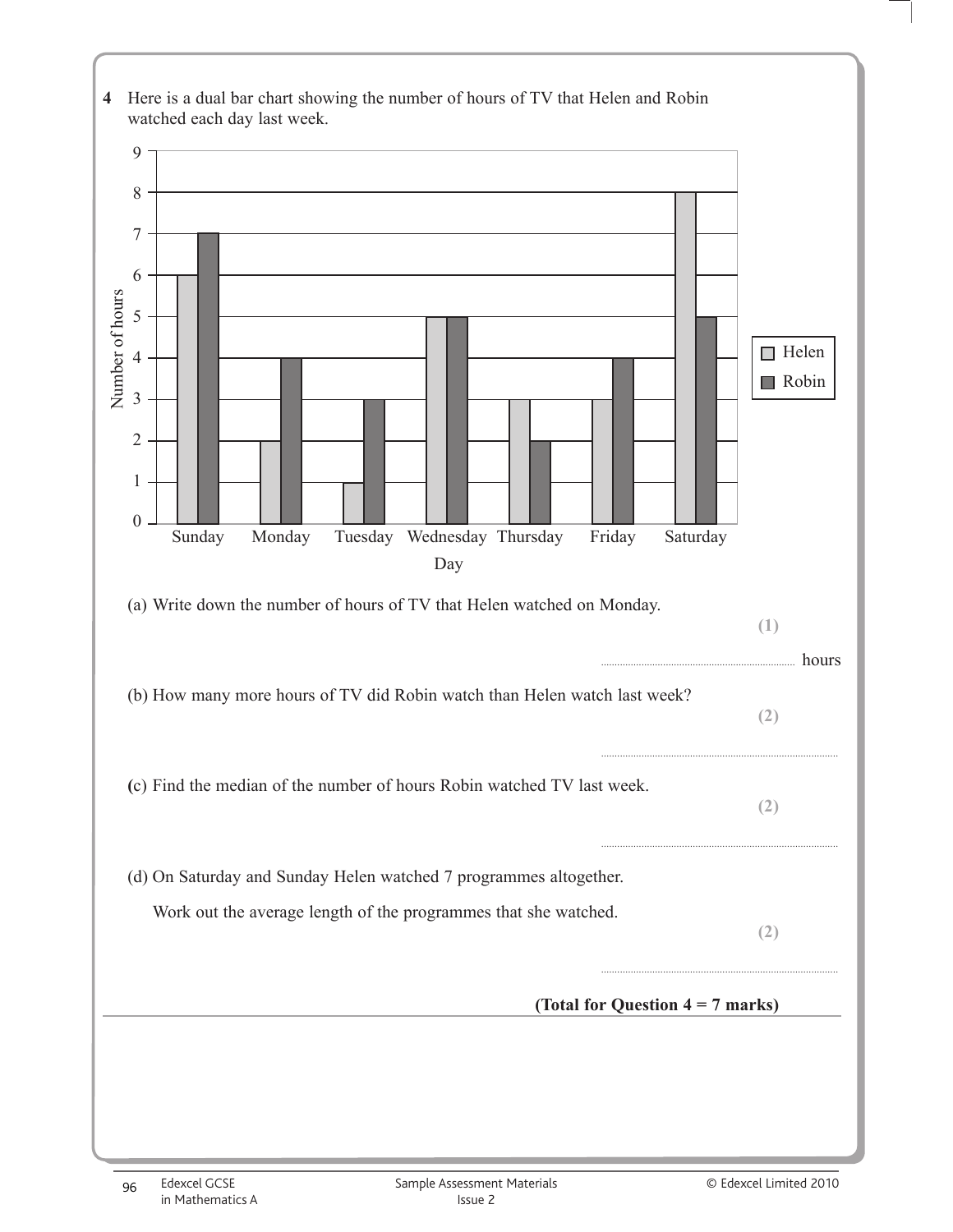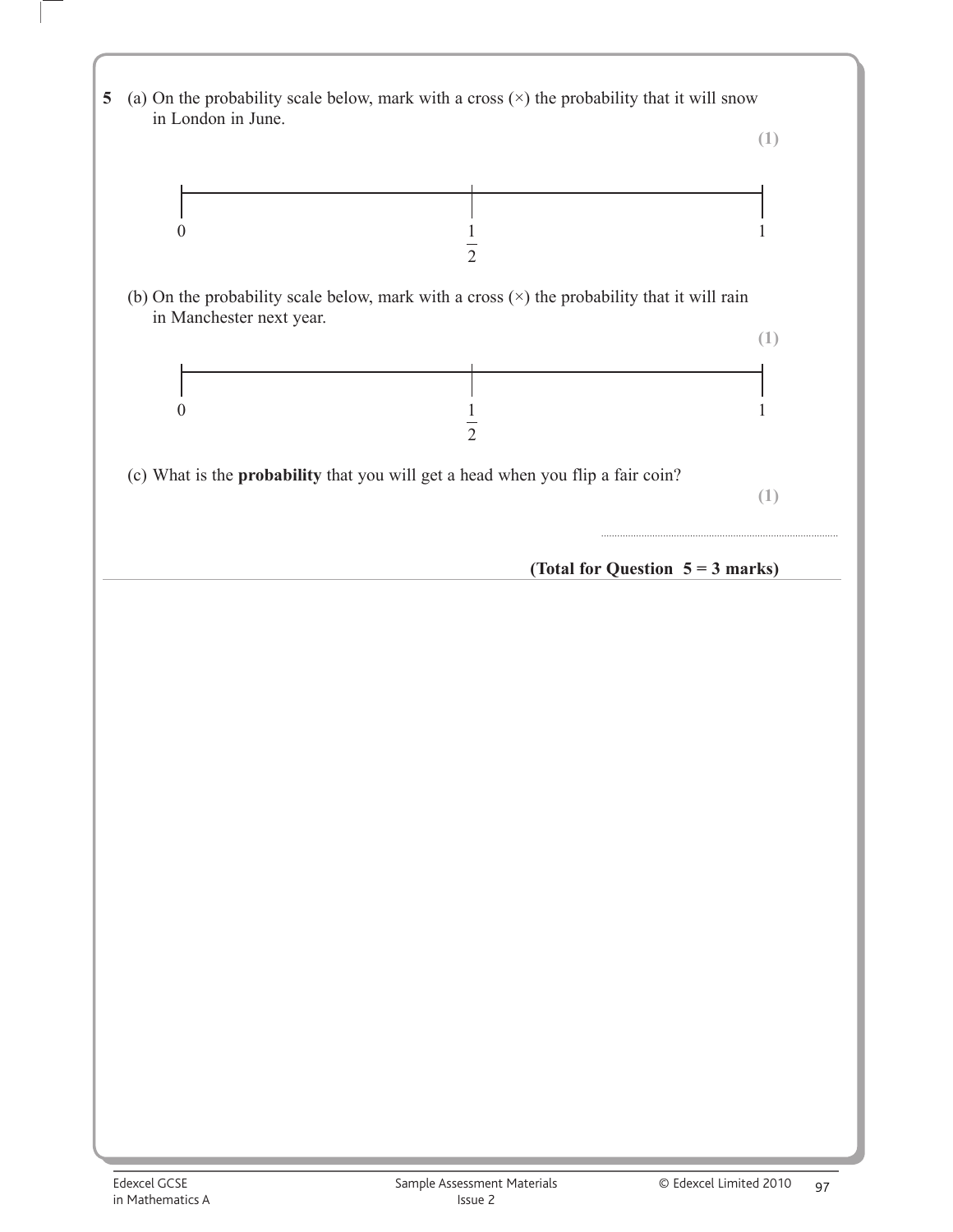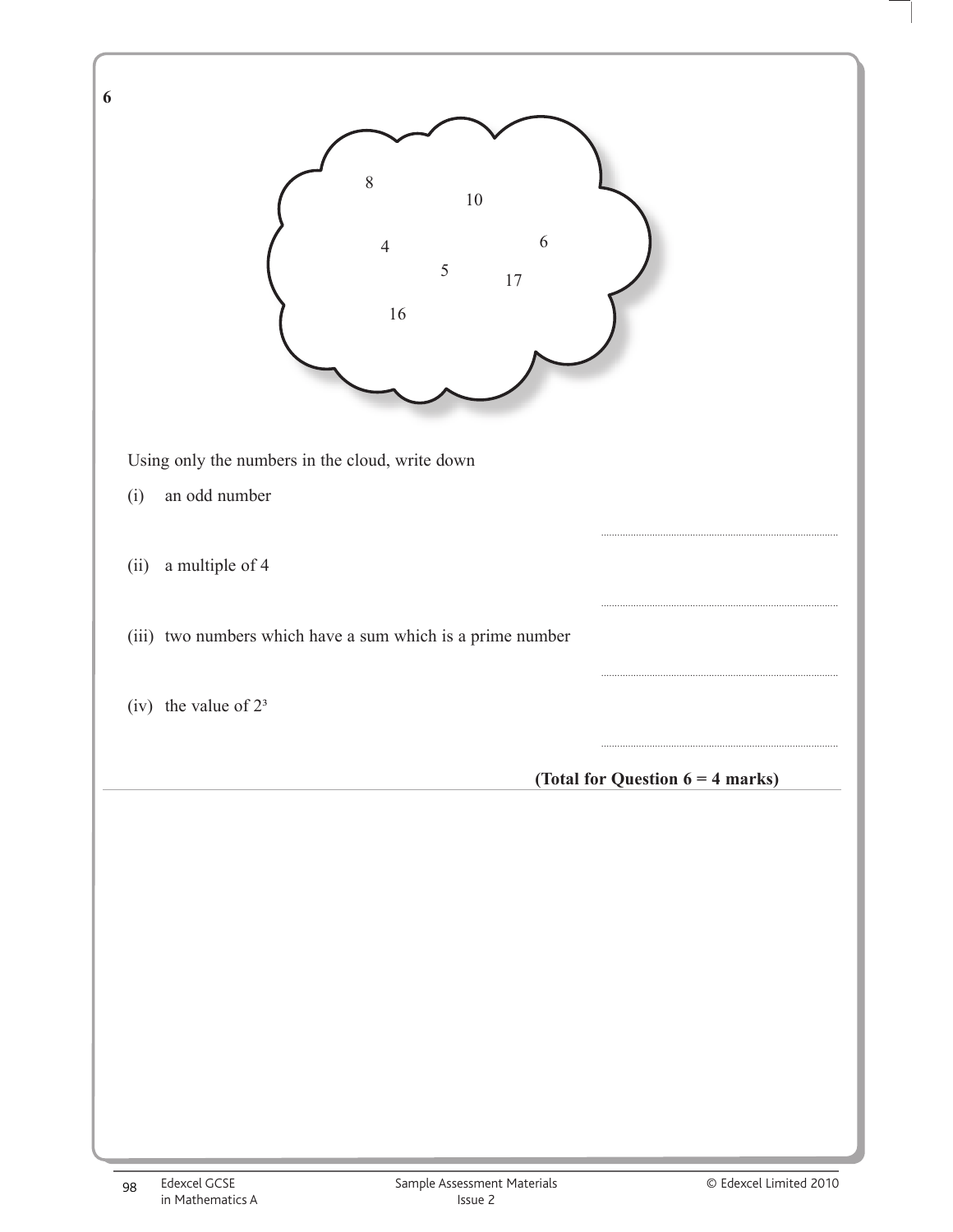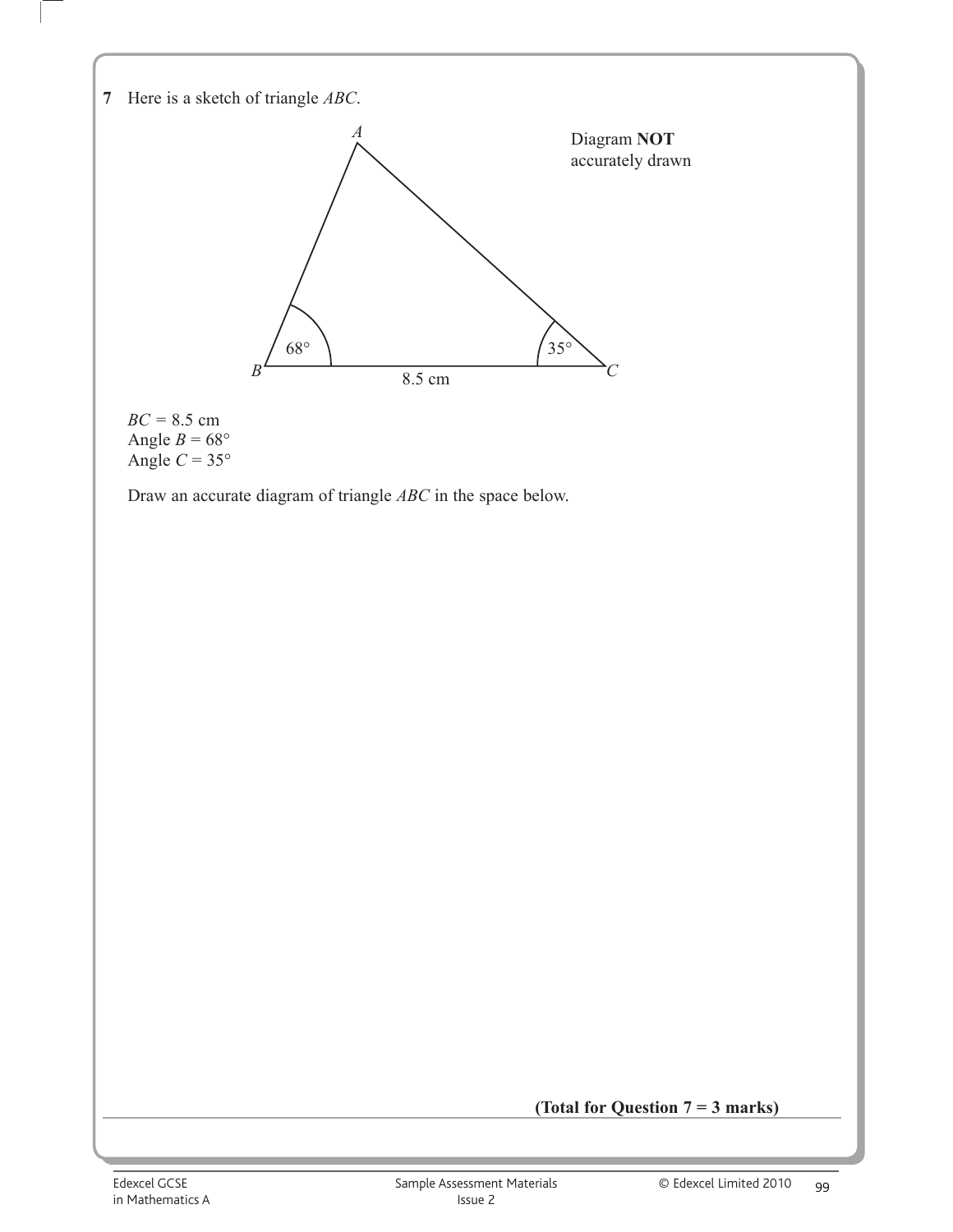

Draw an accurate diagram of triangle *ABC* in the space below.

**(Total for Question 7 = 3 marks)**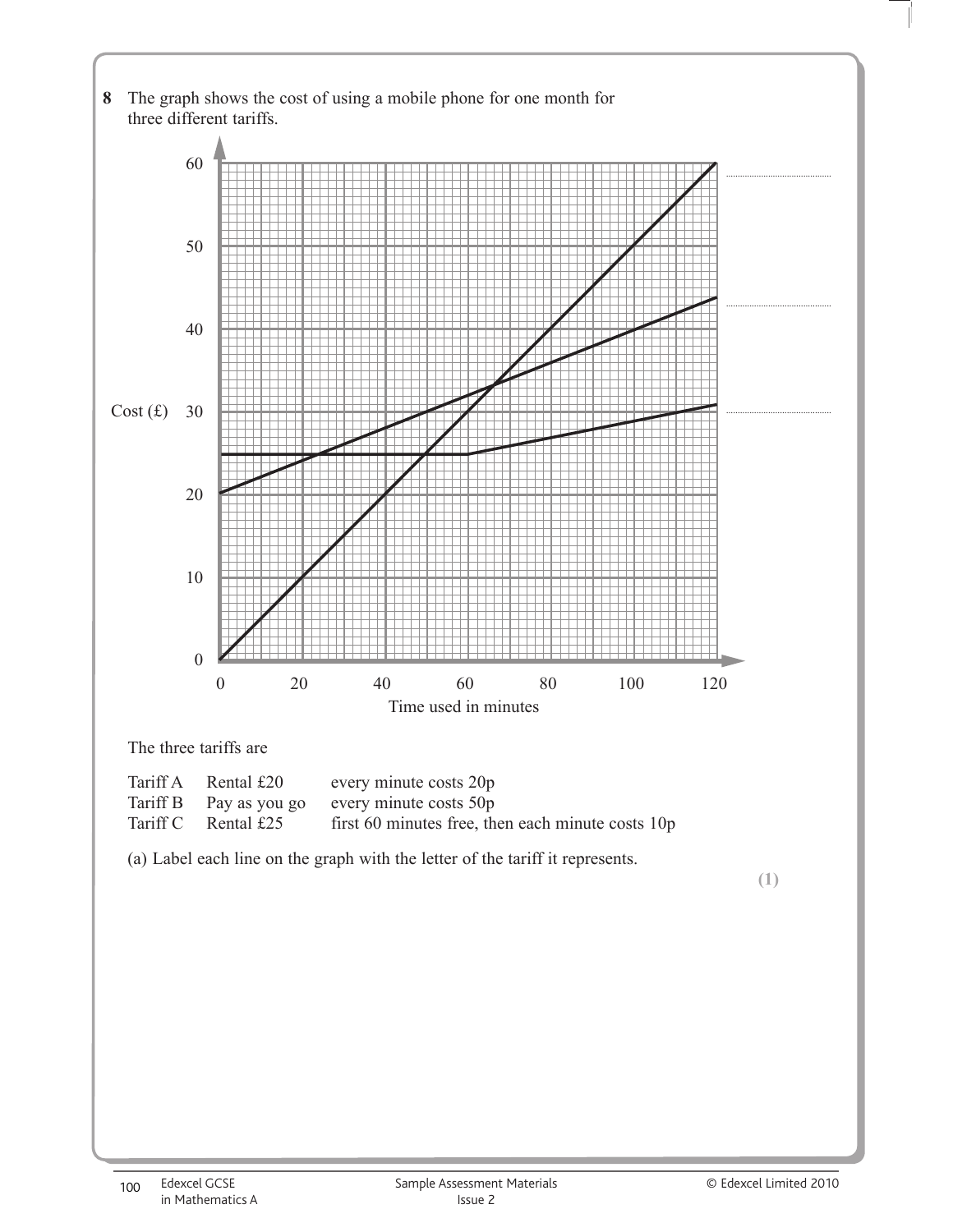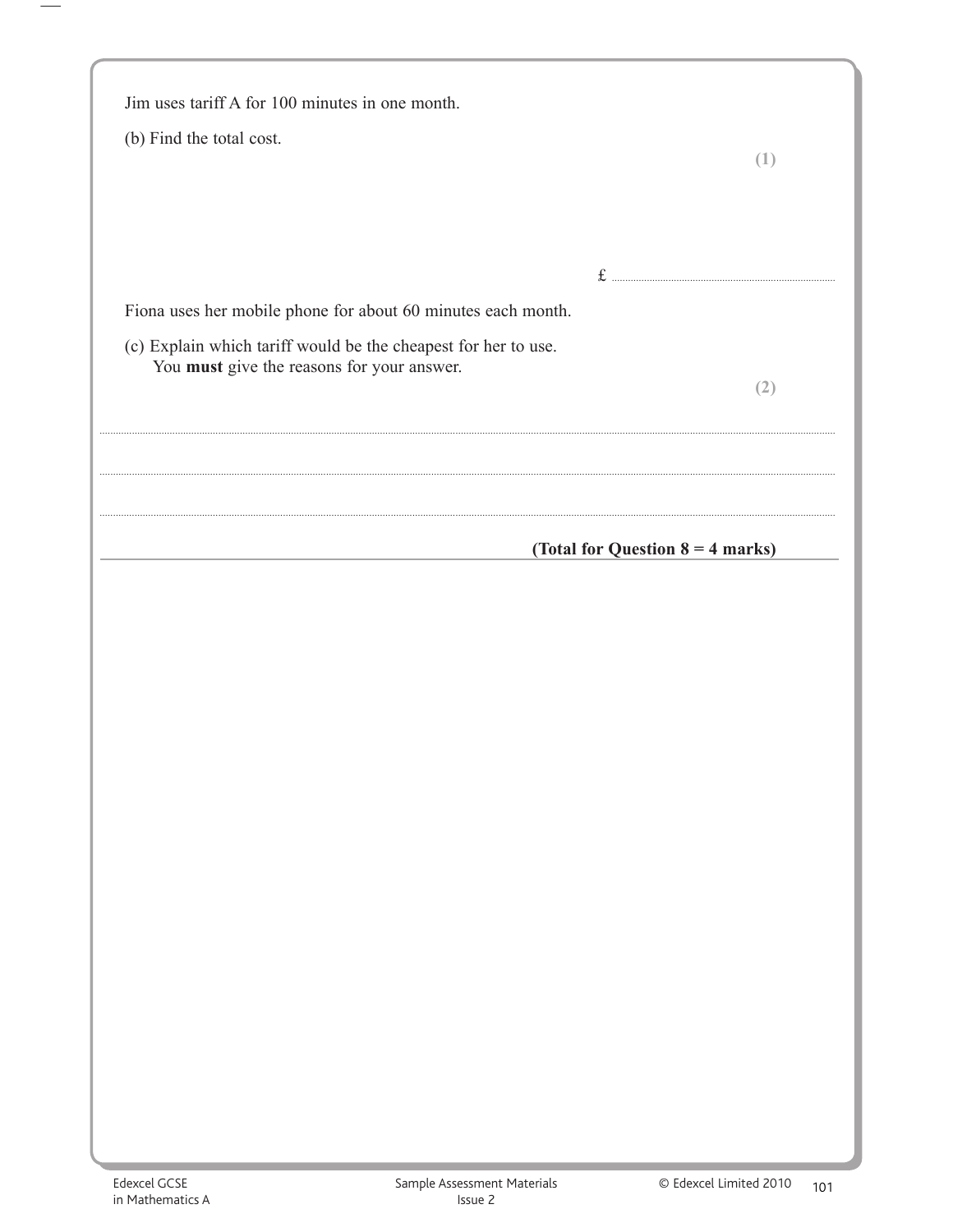| Jim uses tariff A for 100 minutes in one month.                |                                    |
|----------------------------------------------------------------|------------------------------------|
| (b) Find the total cost.                                       | (1)                                |
|                                                                |                                    |
|                                                                |                                    |
|                                                                |                                    |
| Fiona uses her mobile phone for about 60 minutes each month.   |                                    |
| (c) Explain which tariff would be the cheapest for her to use. |                                    |
| You must give the reasons for your answer.                     | (2)                                |
|                                                                |                                    |
|                                                                |                                    |
|                                                                |                                    |
|                                                                |                                    |
|                                                                |                                    |
|                                                                | (Total for Question $8 = 4$ marks) |
|                                                                |                                    |
|                                                                |                                    |
|                                                                |                                    |
|                                                                |                                    |
|                                                                |                                    |
|                                                                |                                    |
|                                                                |                                    |
|                                                                |                                    |
|                                                                |                                    |
|                                                                |                                    |
|                                                                |                                    |
|                                                                |                                    |
|                                                                |                                    |
|                                                                |                                    |
|                                                                |                                    |
|                                                                |                                    |
|                                                                |                                    |
|                                                                |                                    |
|                                                                |                                    |
|                                                                |                                    |
|                                                                |                                    |

 $\overline{a}$  $\overline{\phantom{0}}$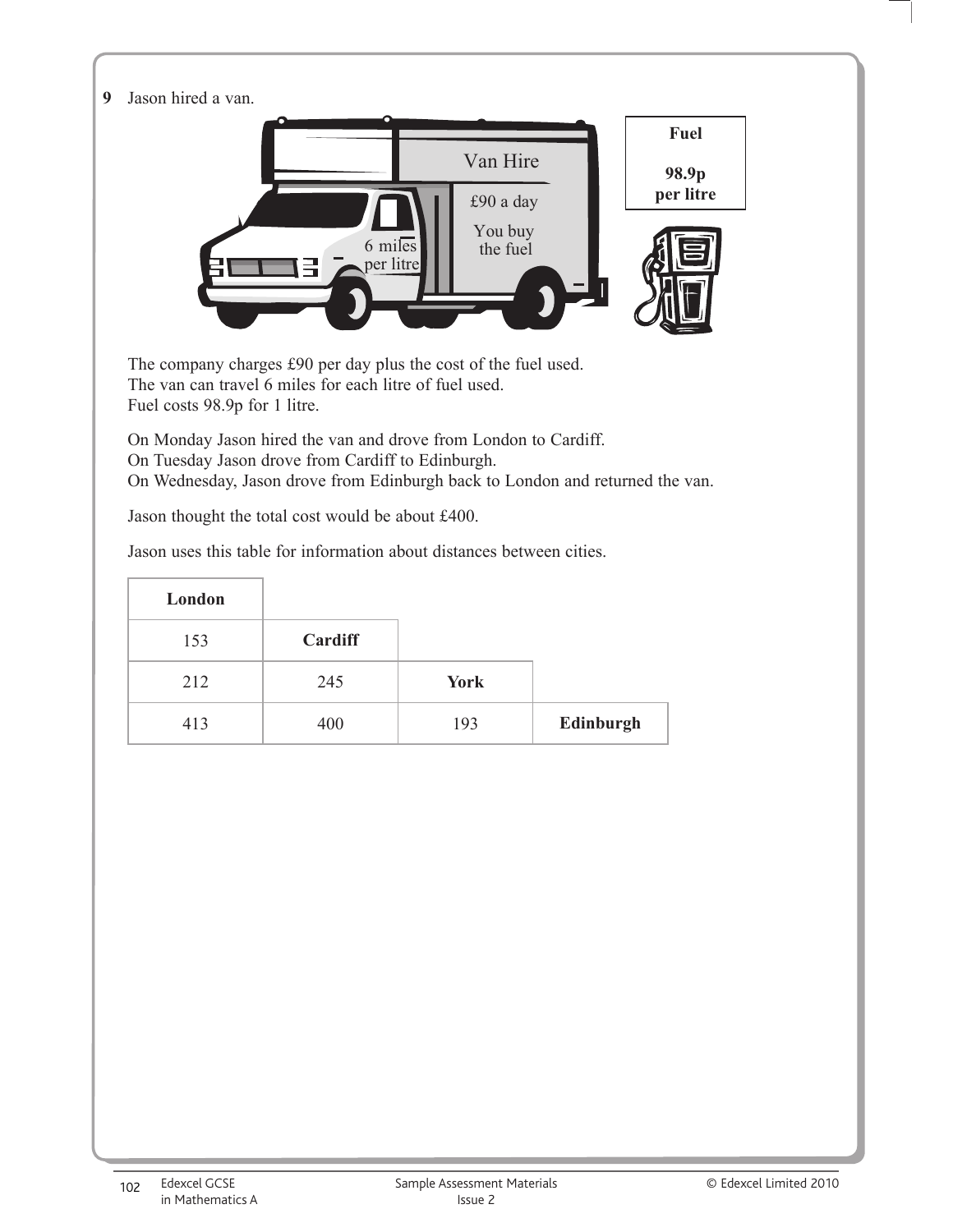**9** Jason hired a van.



 The company charges £90 per day plus the cost of the fuel used. The van can travel 6 miles for each litre of fuel used. Fuel costs 98.9p for 1 litre.

 On Monday Jason hired the van and drove from London to Cardiff. On Tuesday Jason drove from Cardiff to Edinburgh. On Wednesday, Jason drove from Edinburgh back to London and returned the van.

Jason thought the total cost would be about £400.

Jason uses this table for information about distances between cities.

| London |         |             |           |
|--------|---------|-------------|-----------|
| 153    | Cardiff |             |           |
| 212    | 245     | <b>York</b> |           |
| 413    | 400     | 193         | Edinburgh |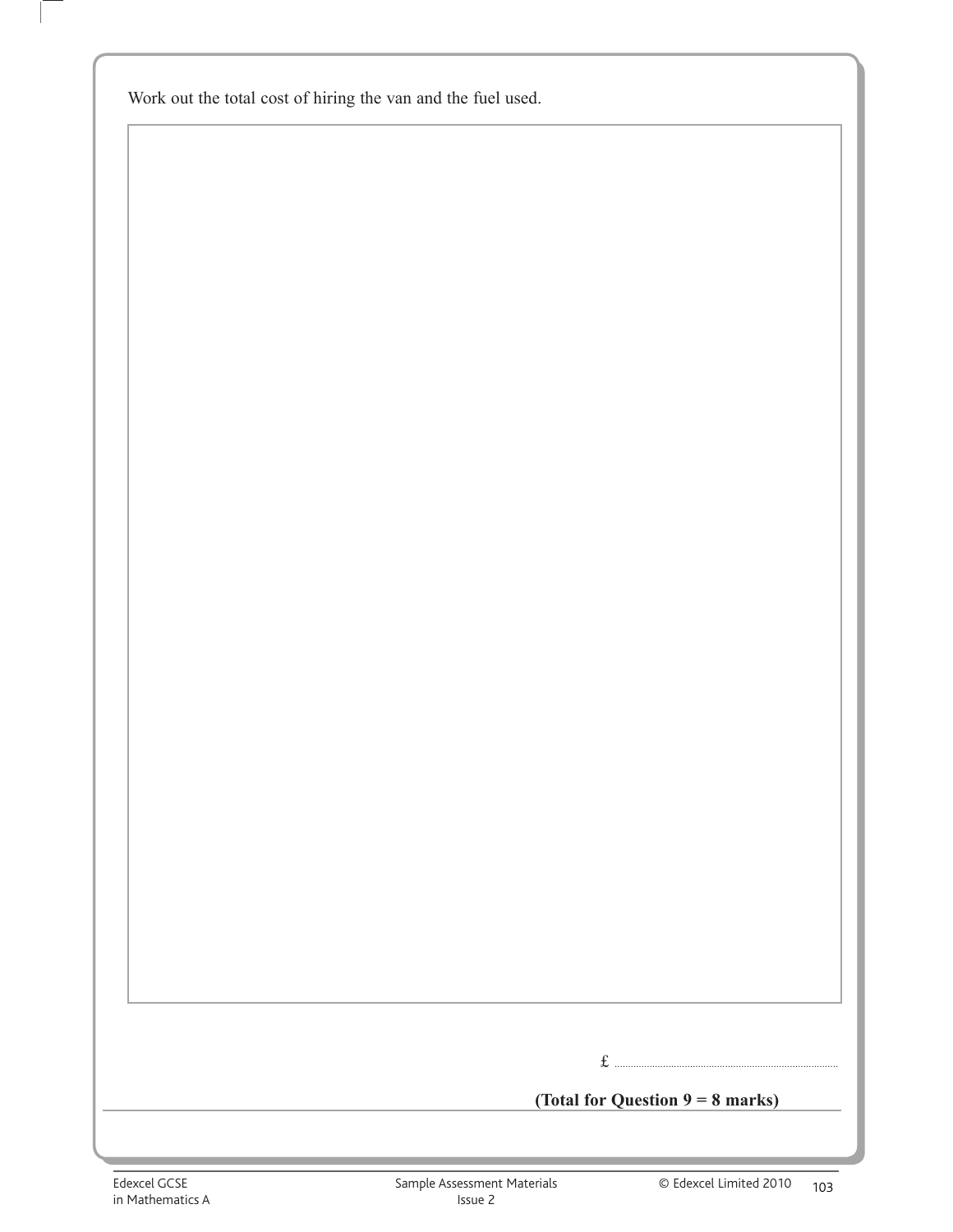Work out the total cost of hiring the van and the fuel used.

 $\overline{\phantom{a}}$ 

# **(Total for Question 9 = 8 marks)**

£ ...................................................................................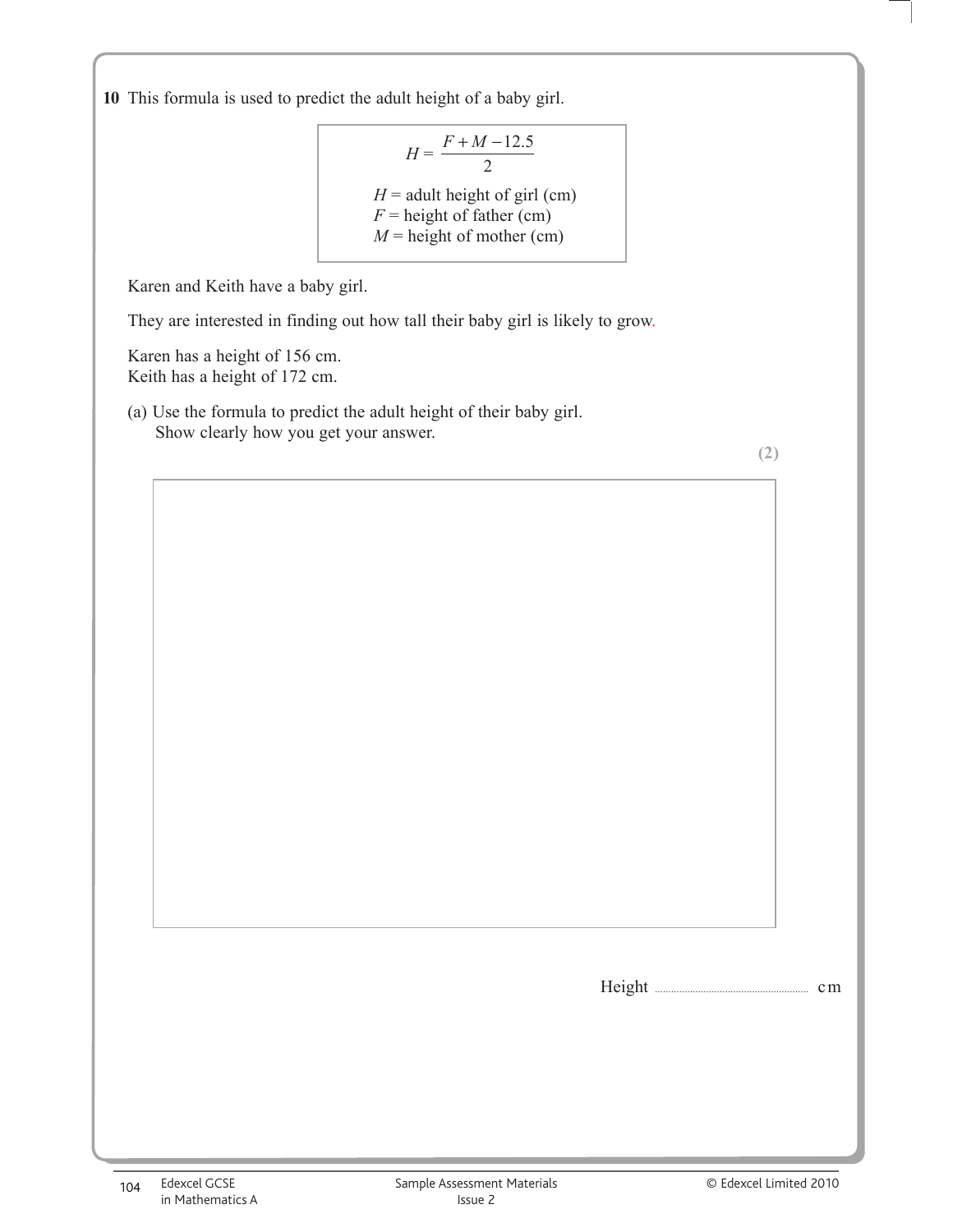**10** This formula is used to predict the adult height of a baby girl.

$$
H = \frac{F + M - 12.5}{2}
$$
  
H = adult height of girl (cm)  
F = height of father (cm)

 $M$  = height of mother (cm)

Karen and Keith have a baby girl.

They are interested in finding out how tall their baby girl is likely to grow.

 Karen has a height of 156 cm. Keith has a height of 172 cm.

 (a) Use the formula to predict the adult height of their baby girl. Show clearly how you get your answer.

**(2)**

Height ......................................................... cm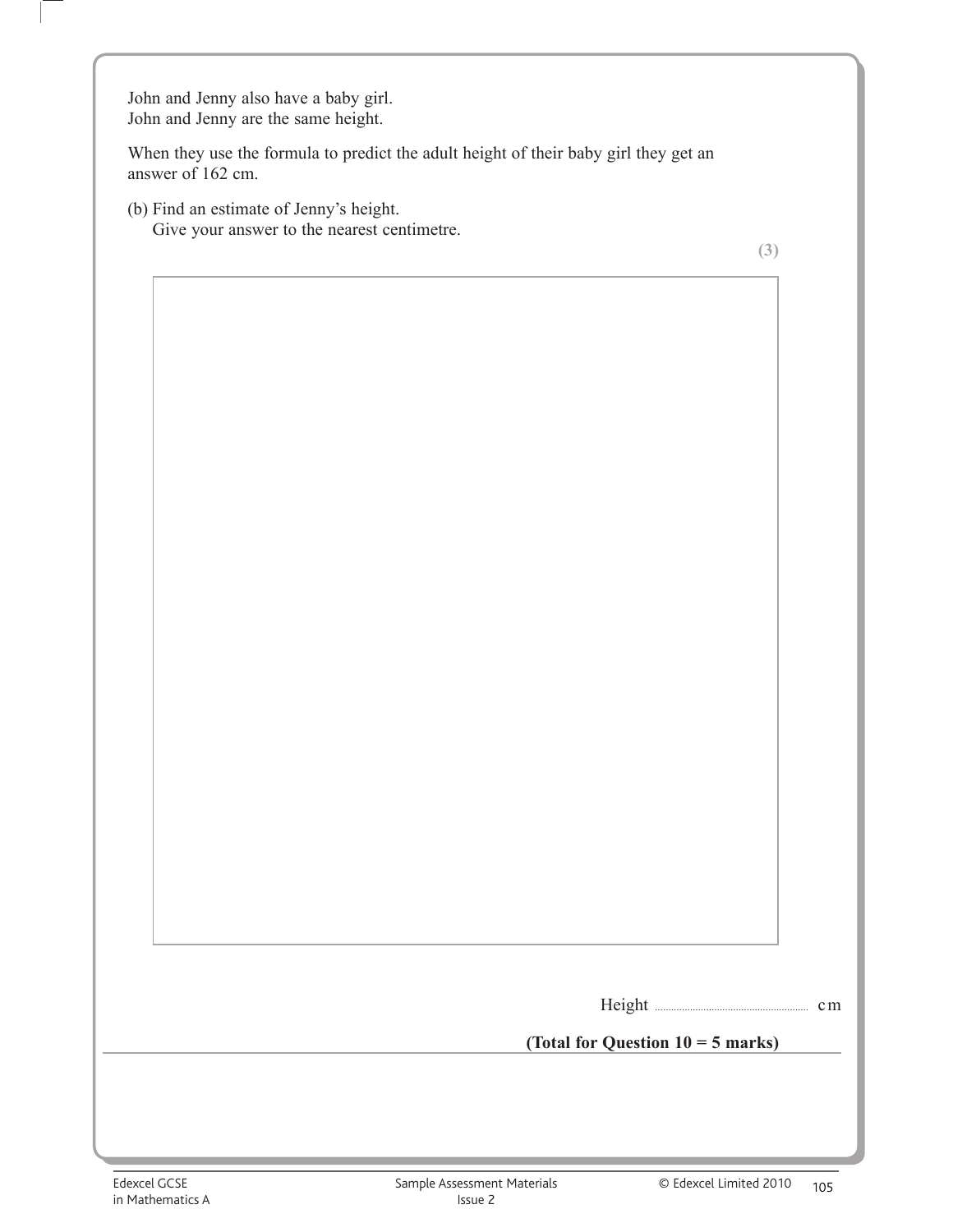John and Jenny also have a baby girl. John and Jenny are the same height.

 When they use the formula to predict the adult height of their baby girl they get an answer of 162 cm.

 (b) Find an estimate of Jenny's height. Give your answer to the nearest centimetre.

**(3)**

| Height |  |  |
|--------|--|--|
|--------|--|--|

#### **(Total for Question 10 = 5 marks)**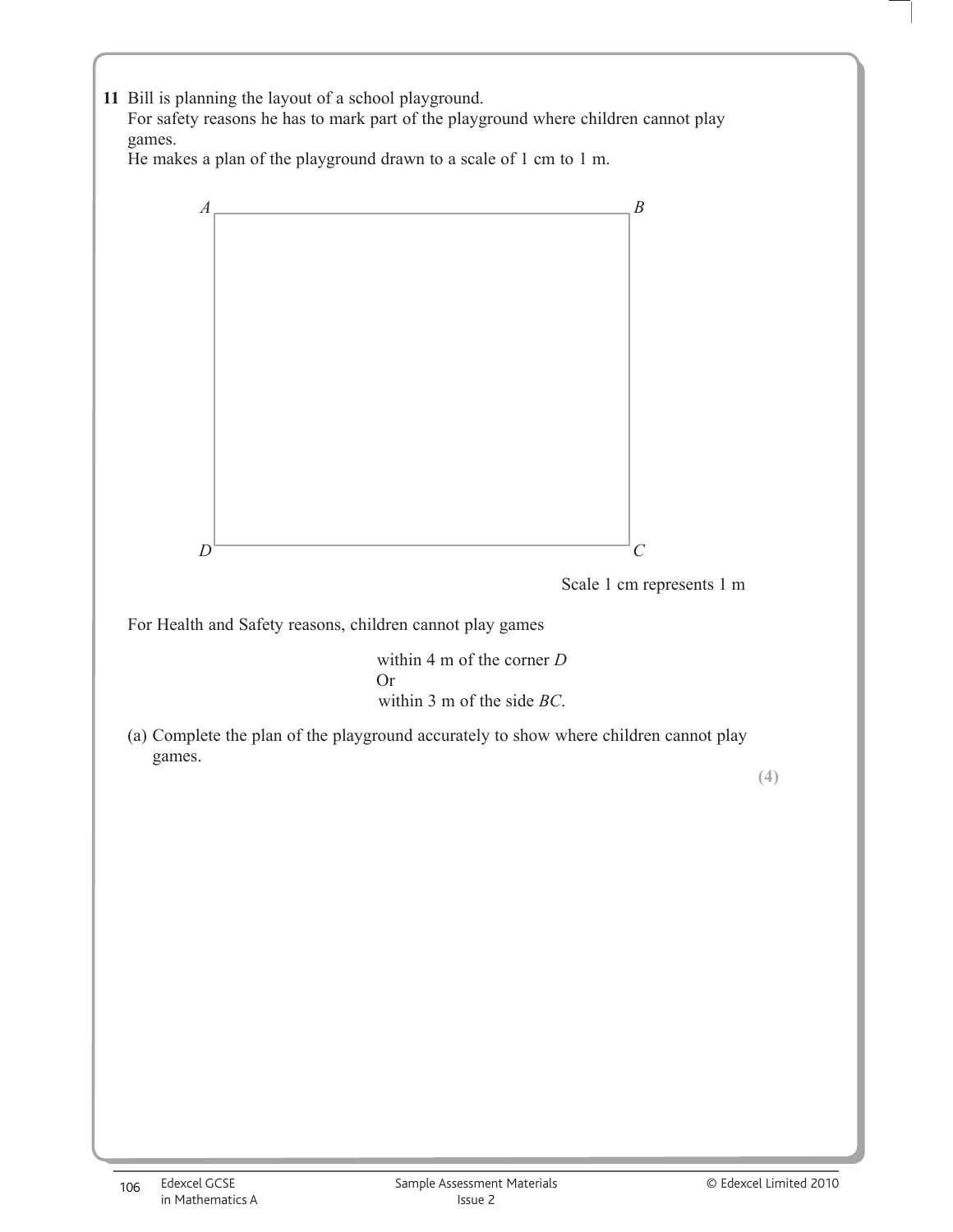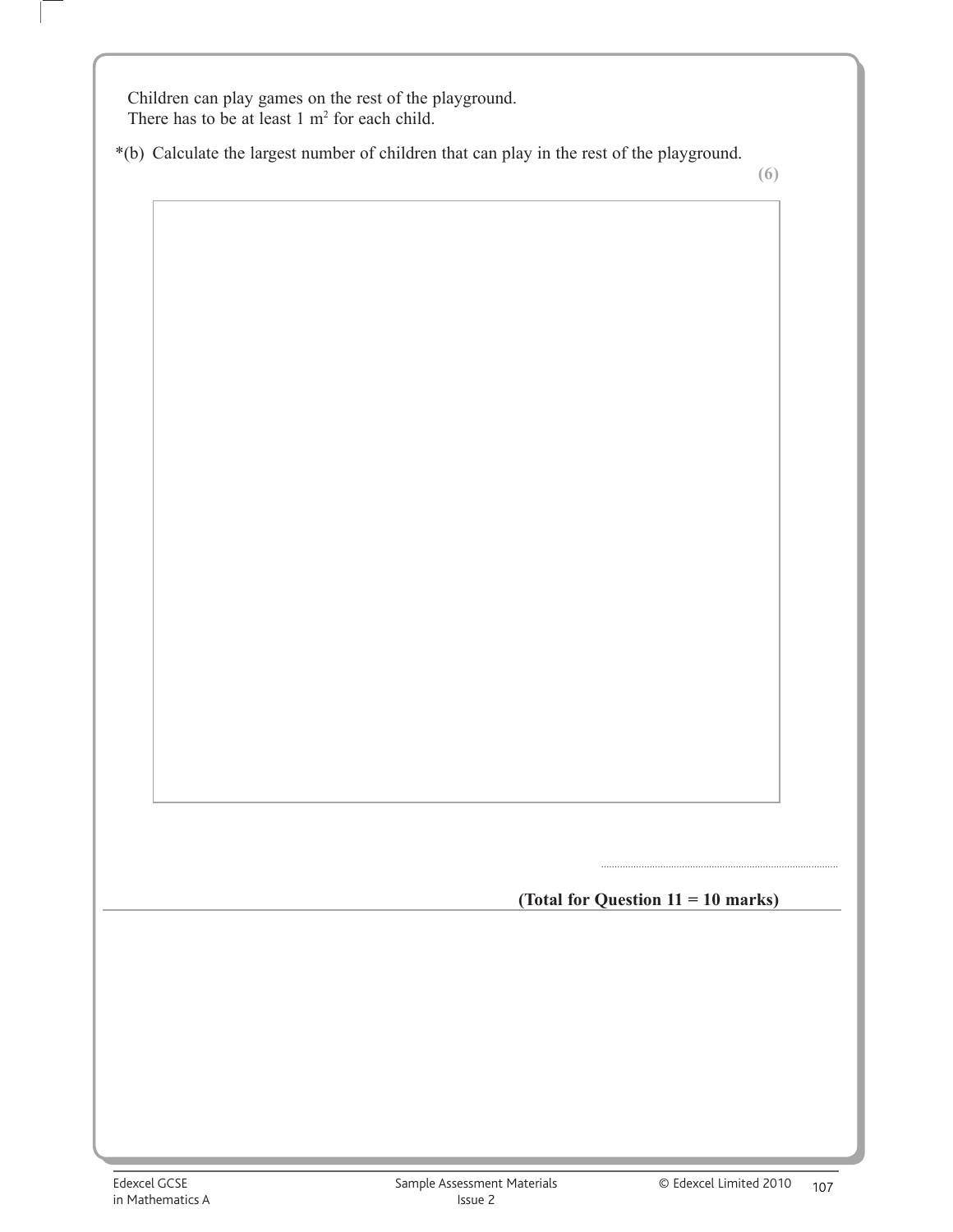Children can play games on the rest of the playground. There has to be at least  $1 \text{ m}^2$  for each child.

\*(b) Calculate the largest number of children that can play in the rest of the playground.

**(6)**

**(Total for Question 11 = 10 marks)**

........................................................................................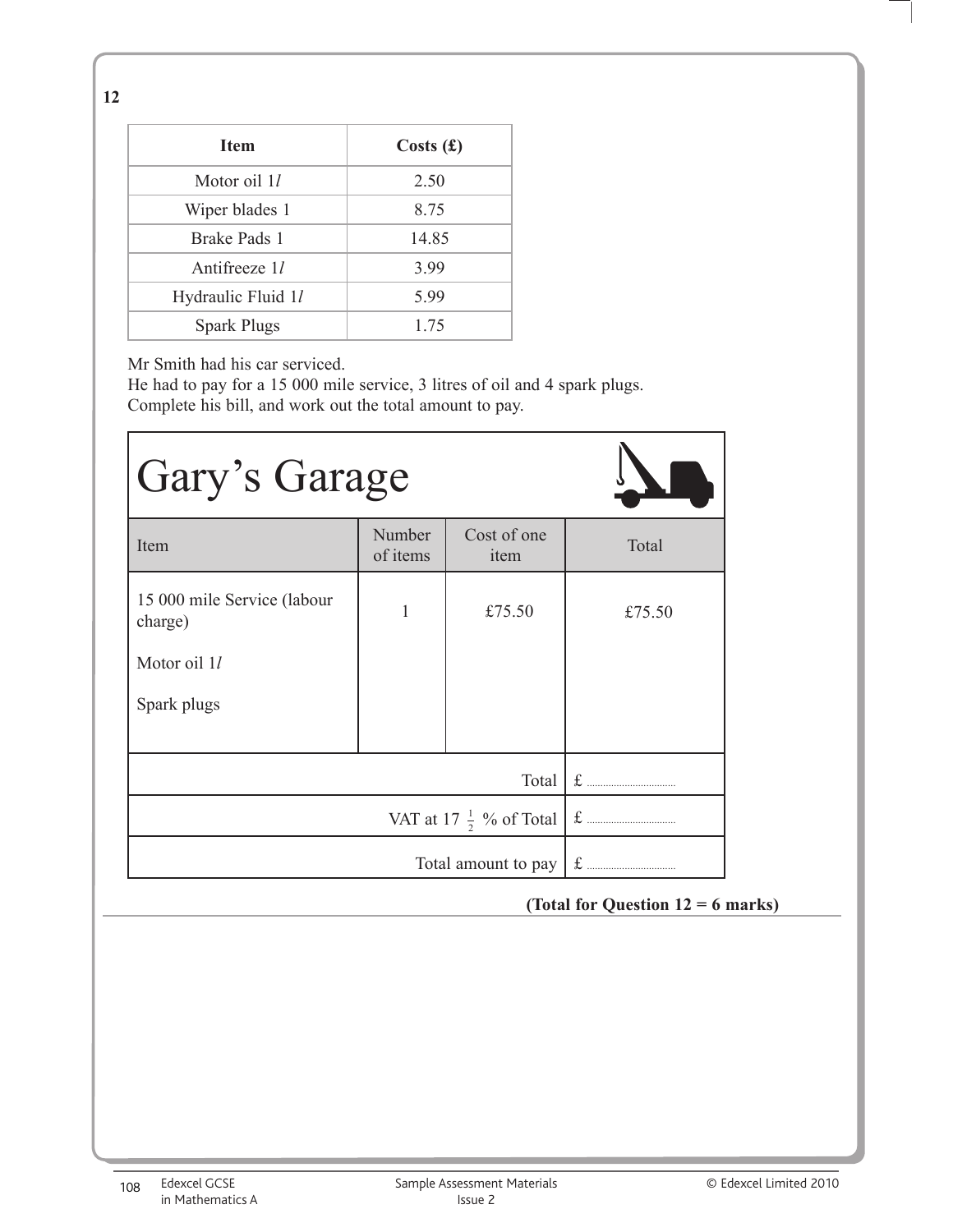**12**

| <b>Item</b>        | Costs(f) |
|--------------------|----------|
| Motor oil 1/       | 2.50     |
| Wiper blades 1     | 8.75     |
| Brake Pads 1       | 14.85    |
| Antifreeze 11      | 3.99     |
| Hydraulic Fluid 11 | 599      |
| <b>Spark Plugs</b> | 1 75     |

Mr Smith had his car serviced.

 He had to pay for a 15 000 mile service, 3 litres of oil and 4 spark plugs. Complete his bill, and work out the total amount to pay.

| Gary's Garage                          |                    |                     |        |
|----------------------------------------|--------------------|---------------------|--------|
| Item                                   | Number<br>of items | Cost of one<br>item | Total  |
| 15 000 mile Service (labour<br>charge) | 1                  | £75.50              | £75.50 |
| Motor oil 1l                           |                    |                     |        |
| Spark plugs                            |                    |                     |        |
|                                        |                    |                     |        |
|                                        |                    |                     |        |
|                                        |                    | Total amount to pay |        |

**(Total for Question 12 = 6 marks)**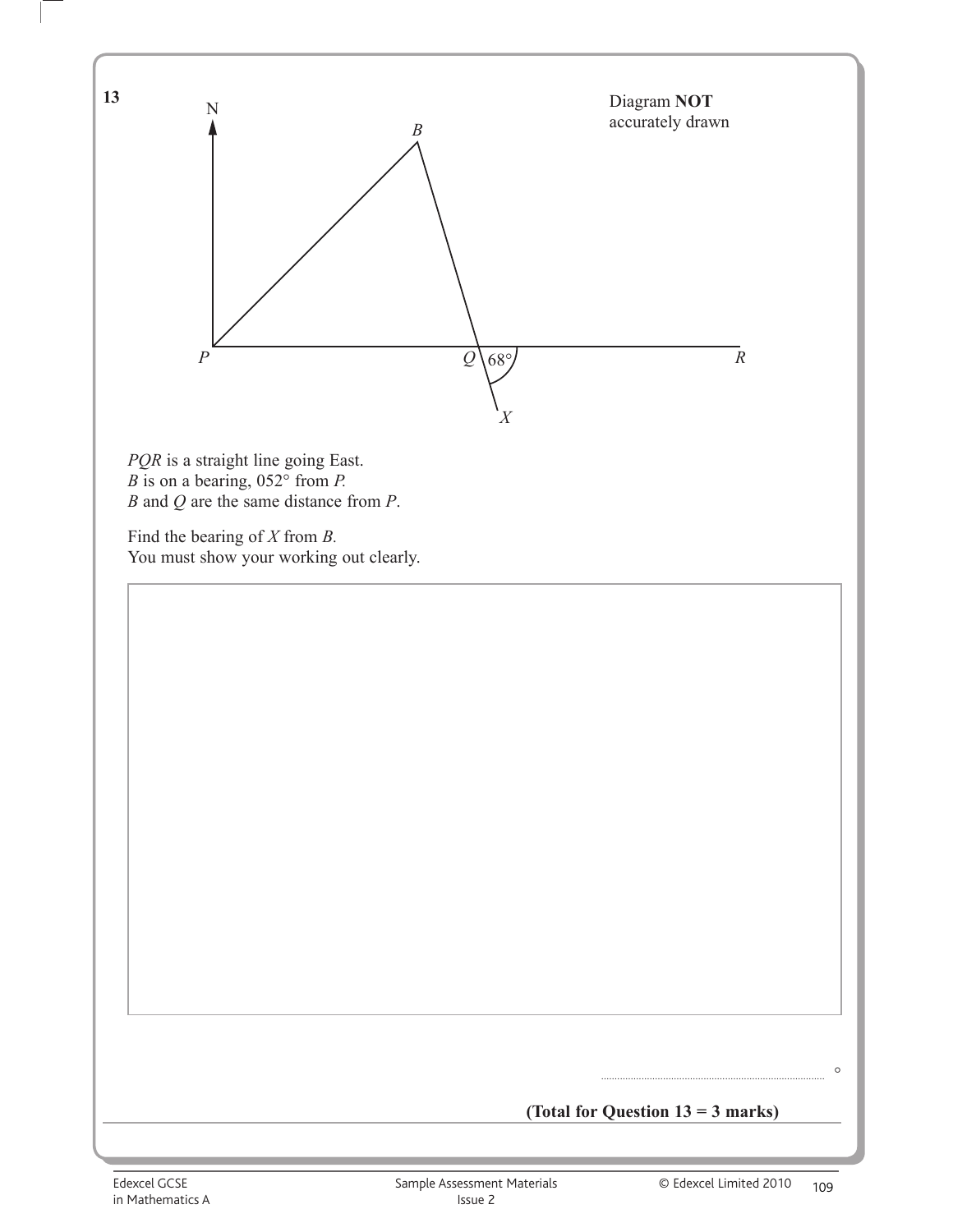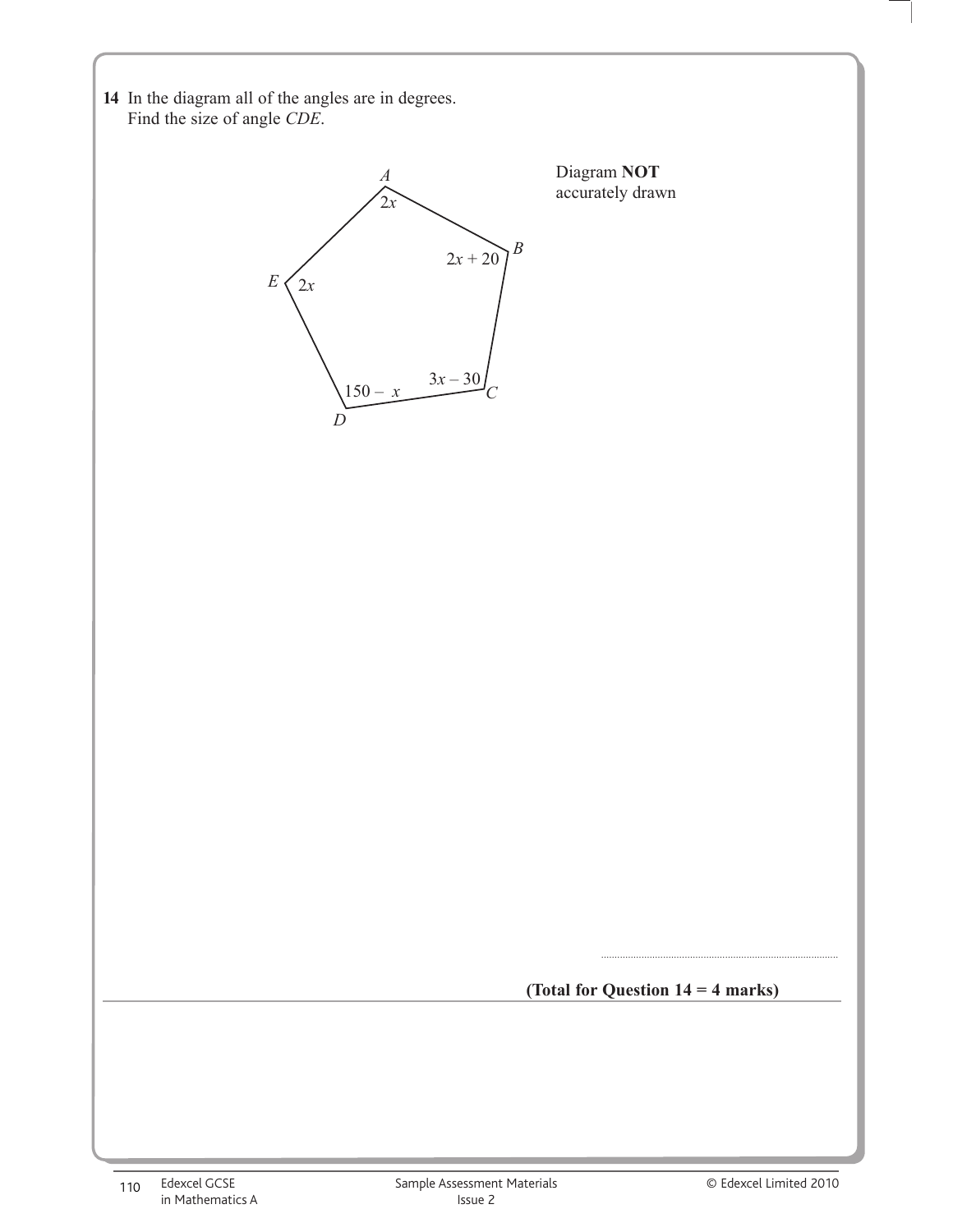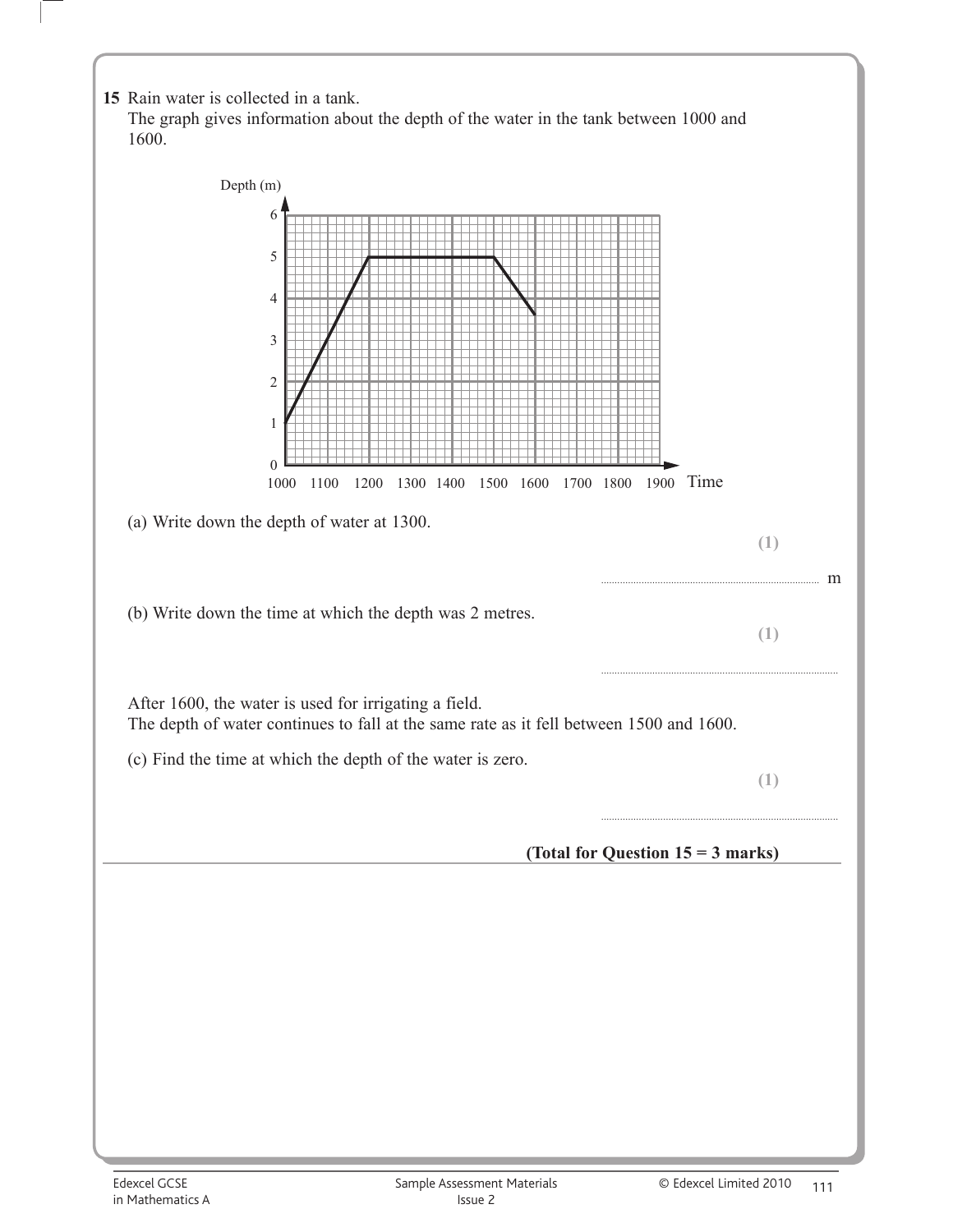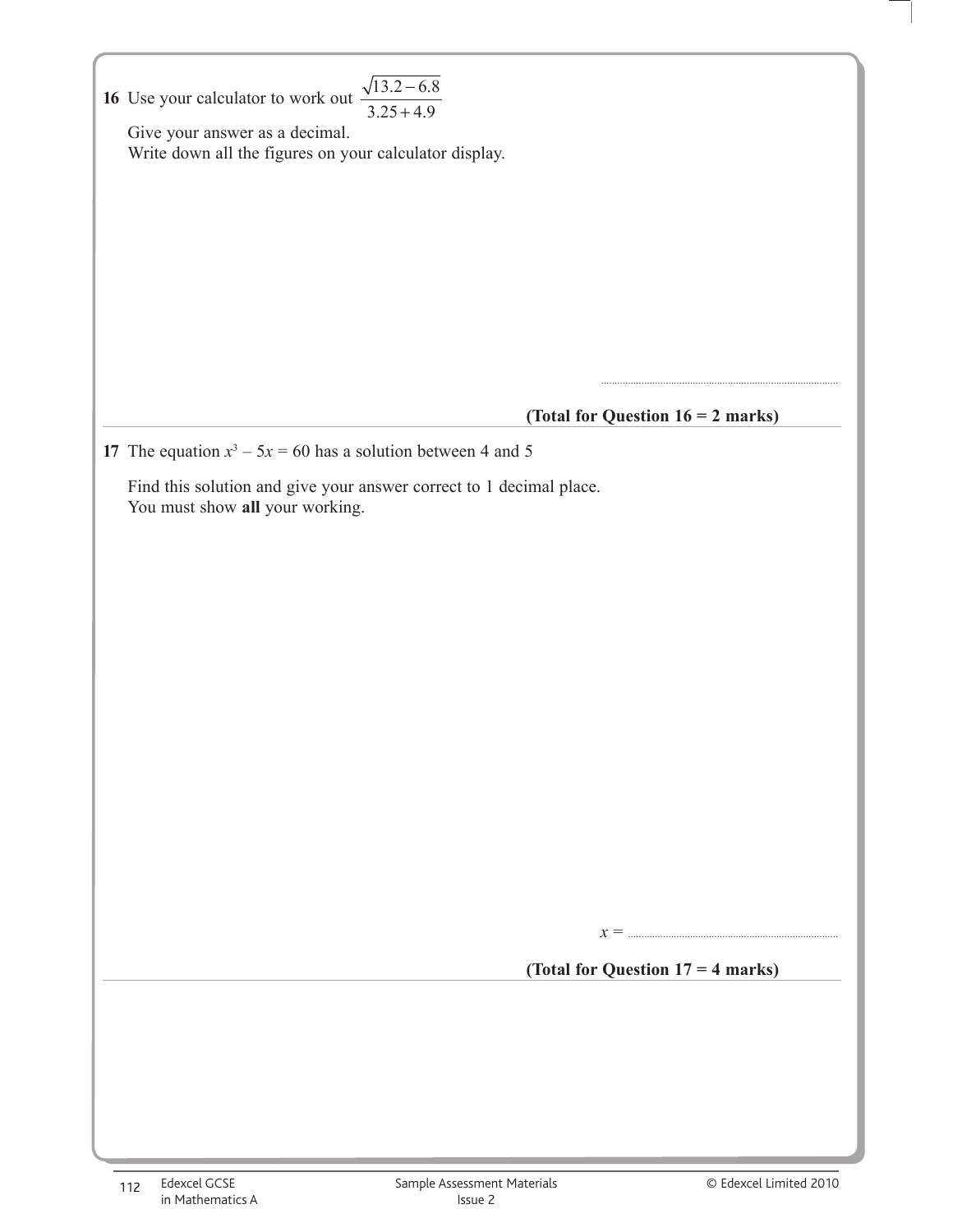| $\sqrt{13.2} - 6.8$                                                                                    |                                   |
|--------------------------------------------------------------------------------------------------------|-----------------------------------|
| 16 Use your calculator to work out<br>$3.25 + 4.9$                                                     |                                   |
| Give your answer as a decimal.<br>Write down all the figures on your calculator display.               |                                   |
|                                                                                                        |                                   |
|                                                                                                        |                                   |
|                                                                                                        |                                   |
|                                                                                                        |                                   |
|                                                                                                        |                                   |
|                                                                                                        |                                   |
|                                                                                                        |                                   |
|                                                                                                        | (Total for Question 16 = 2 marks) |
| 17 The equation $x^3 - 5x = 60$ has a solution between 4 and 5                                         |                                   |
| Find this solution and give your answer correct to 1 decimal place.<br>You must show all your working. |                                   |
|                                                                                                        |                                   |
|                                                                                                        |                                   |
|                                                                                                        |                                   |
|                                                                                                        |                                   |
|                                                                                                        |                                   |
|                                                                                                        |                                   |
|                                                                                                        |                                   |
|                                                                                                        |                                   |
|                                                                                                        |                                   |
|                                                                                                        |                                   |
|                                                                                                        |                                   |
|                                                                                                        |                                   |
|                                                                                                        |                                   |
|                                                                                                        |                                   |
|                                                                                                        | (Total for Question 17 = 4 marks) |
|                                                                                                        |                                   |
|                                                                                                        |                                   |
|                                                                                                        |                                   |
|                                                                                                        |                                   |
|                                                                                                        |                                   |

 $\overline{\phantom{a}}$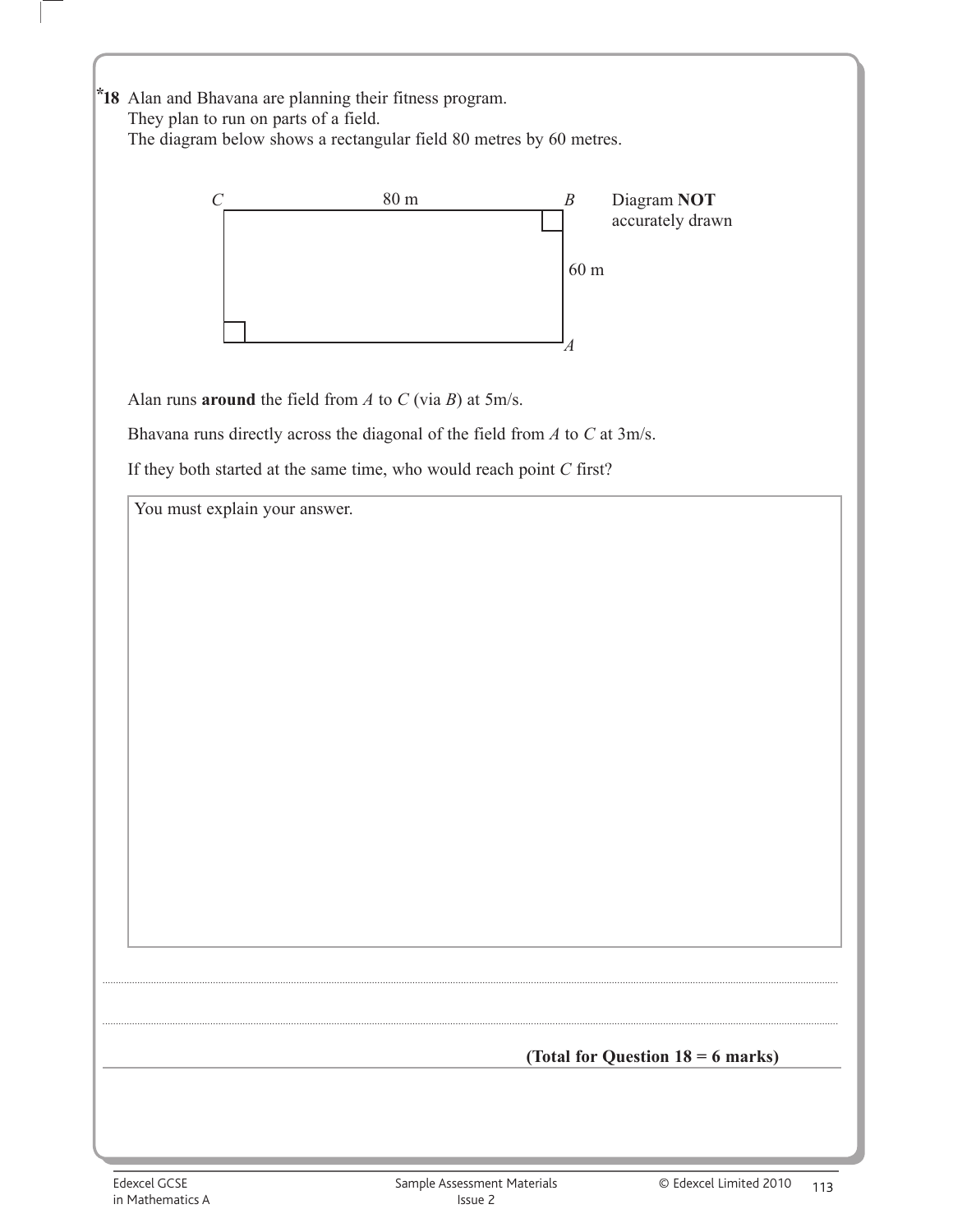| *18 Alan and Bhavana are planning their fitness program.<br>They plan to run on parts of a field.<br>The diagram below shows a rectangular field 80 metres by 60 metres.                                                               |
|----------------------------------------------------------------------------------------------------------------------------------------------------------------------------------------------------------------------------------------|
| $80 \text{ m}$<br>Diagram NOT<br>$\boldsymbol{C}$<br>$\boldsymbol{B}$<br>accurately drawn<br>$60\;\mathrm{m}$<br>'A                                                                                                                    |
| Alan runs <b>around</b> the field from $A$ to $C$ (via $B$ ) at 5m/s.<br>Bhavana runs directly across the diagonal of the field from $A$ to $C$ at $3m/s$ .<br>If they both started at the same time, who would reach point $C$ first? |
| You must explain your answer.                                                                                                                                                                                                          |
|                                                                                                                                                                                                                                        |
|                                                                                                                                                                                                                                        |
|                                                                                                                                                                                                                                        |
|                                                                                                                                                                                                                                        |
|                                                                                                                                                                                                                                        |
|                                                                                                                                                                                                                                        |
| (Total for Question 18 = 6 marks)                                                                                                                                                                                                      |

the control of the control of the control of the control of the

 $\mathbf{I}$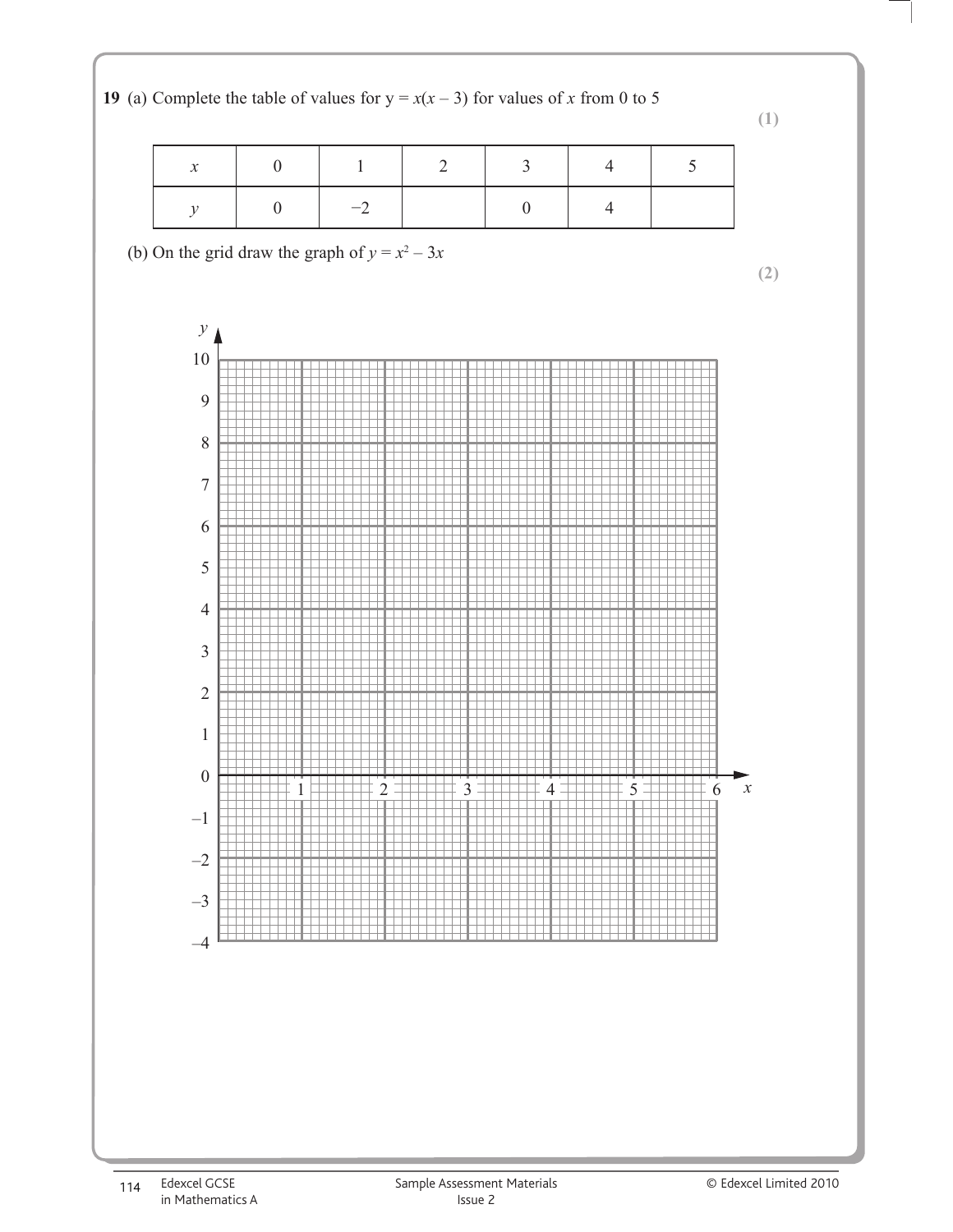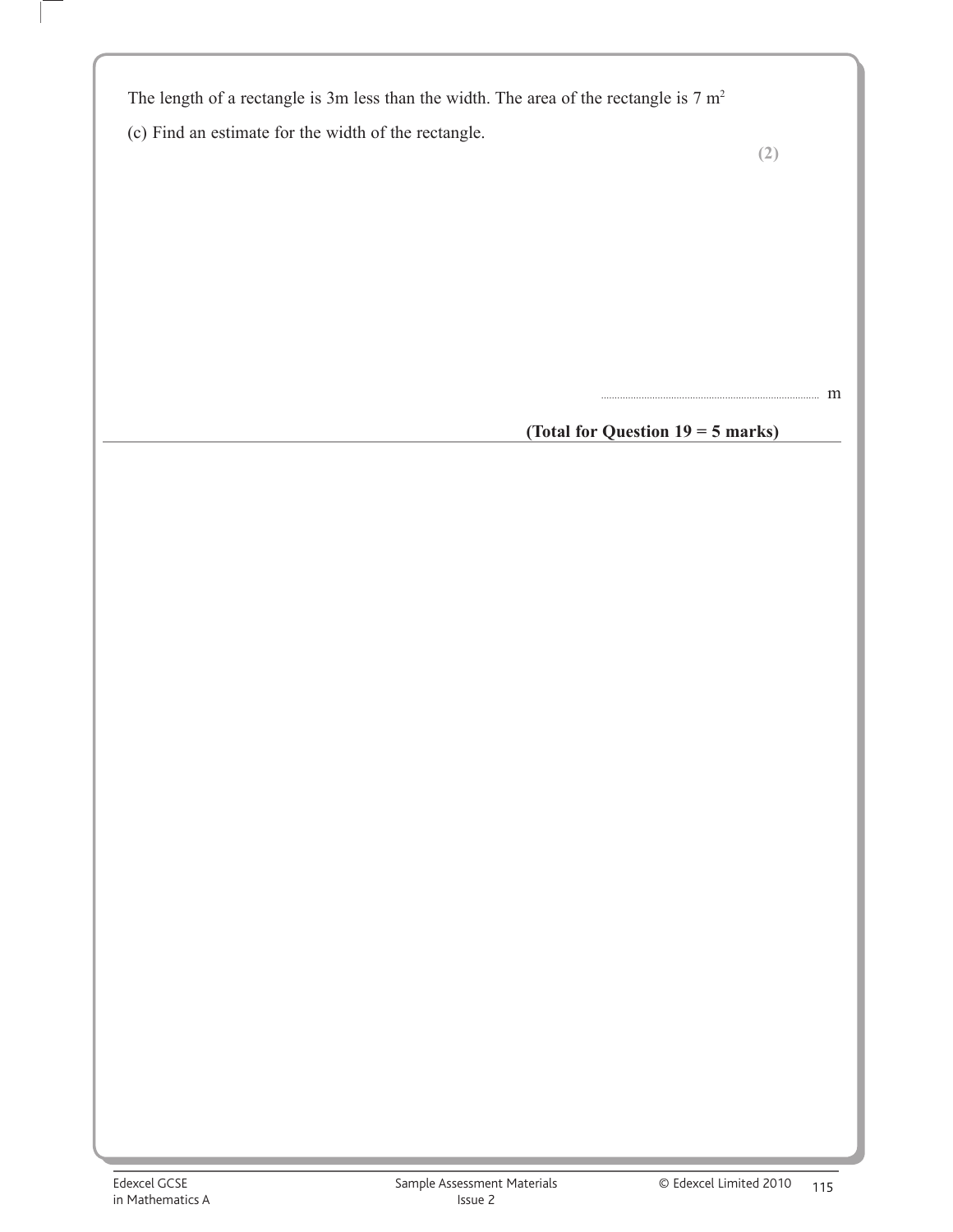The length of a rectangle is 3m less than the width. The area of the rectangle is 7 m<sup>2</sup>

(c) Find an estimate for the width of the rectangle.

**(2)**

................................................................................. m

# **(Total for Question 19 = 5 marks)**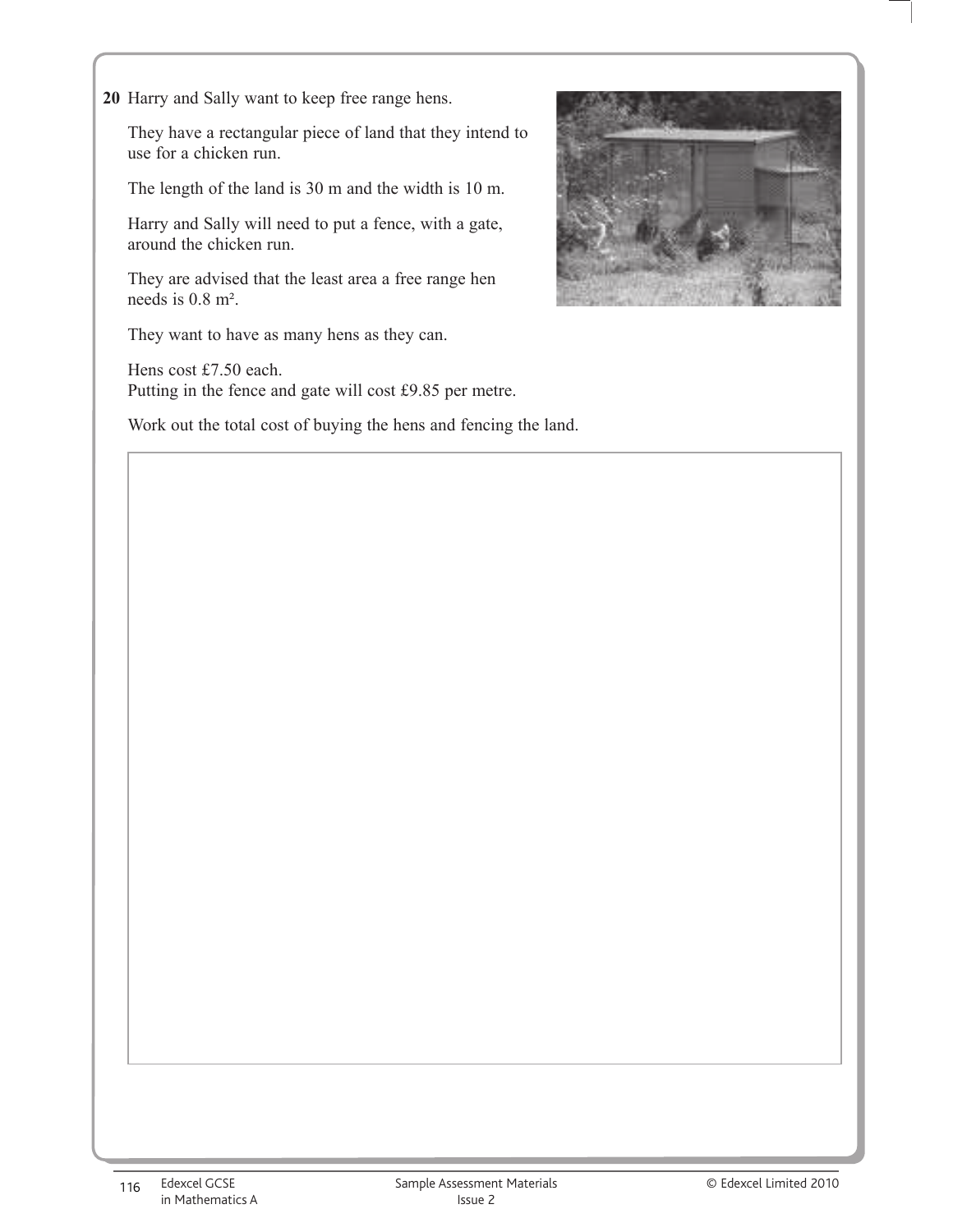**20** Harry and Sally want to keep free range hens.

 They have a rectangular piece of land that they intend to use for a chicken run.

The length of the land is 30 m and the width is 10 m.

 Harry and Sally will need to put a fence, with a gate, around the chicken run.

 They are advised that the least area a free range hen needs is 0.8 m².

They want to have as many hens as they can.

 Hens cost £7.50 each. Putting in the fence and gate will cost £9.85 per metre.

Work out the total cost of buying the hens and fencing the land.

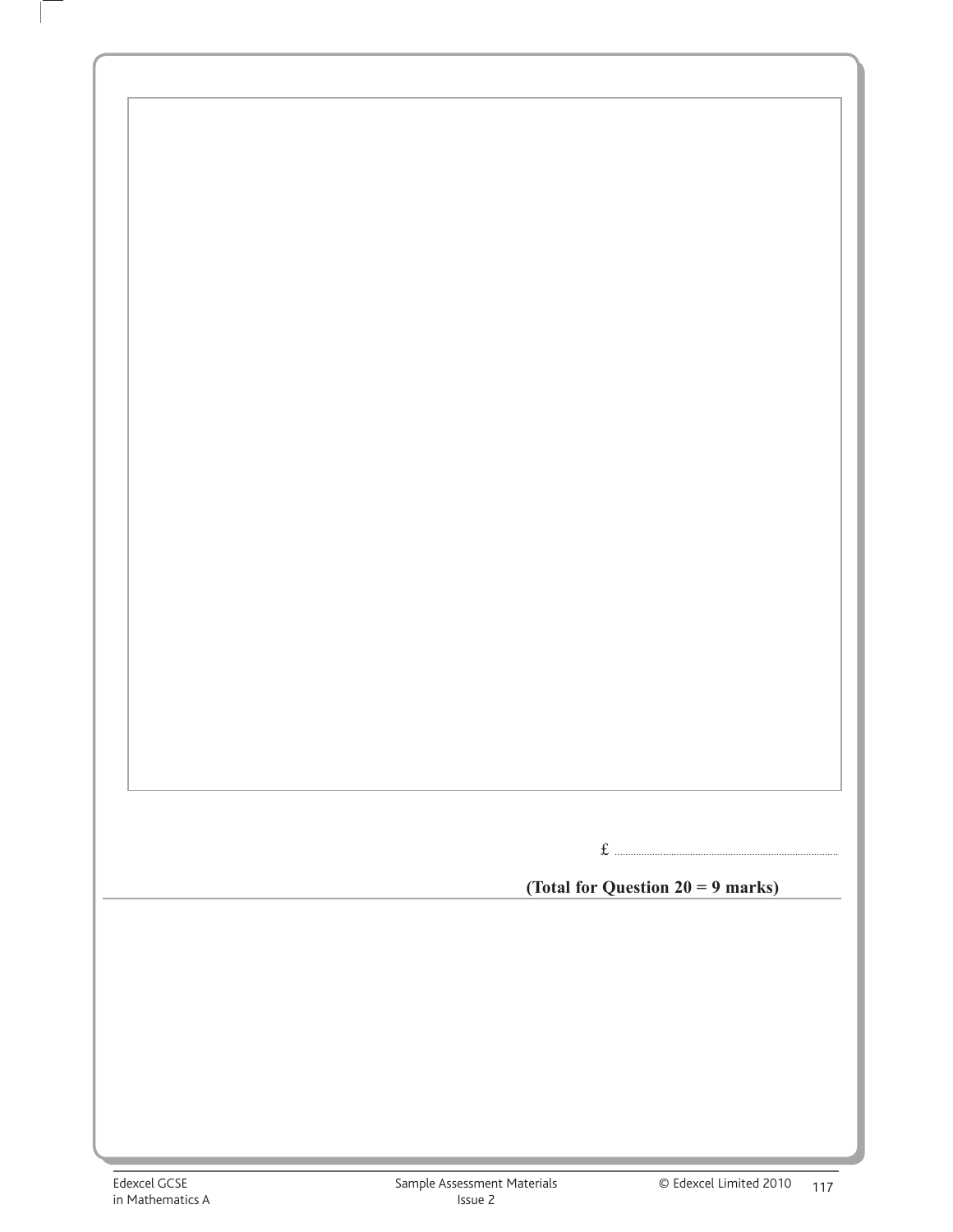£ ...................................................................................

**(Total for Question 20 = 9 marks)**

 $\overline{\phantom{a}}$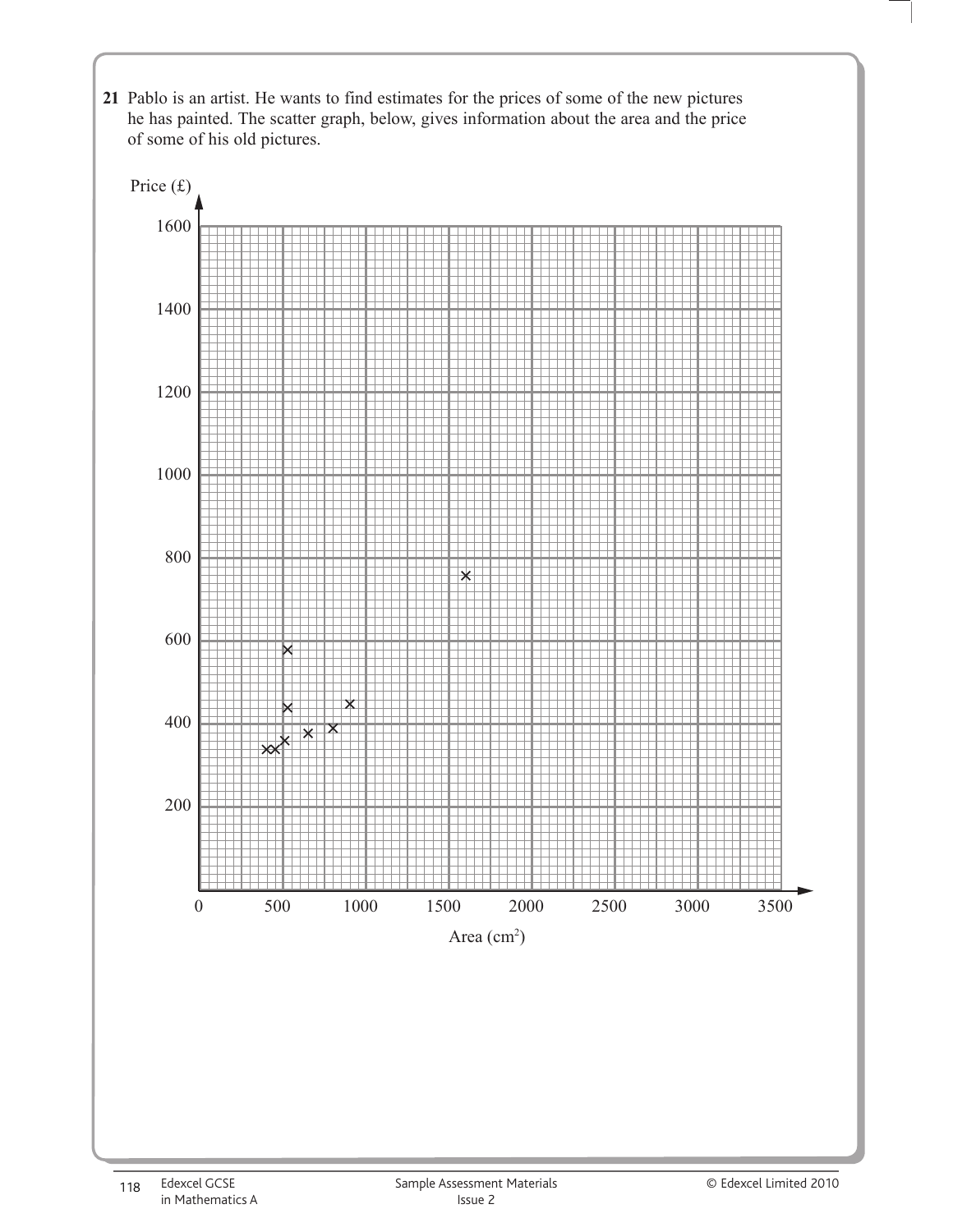**21** Pablo is an artist. He wants to find estimates for the prices of some of the new pictures he has painted. The scatter graph, below, gives information about the area and the price of some of his old pictures.

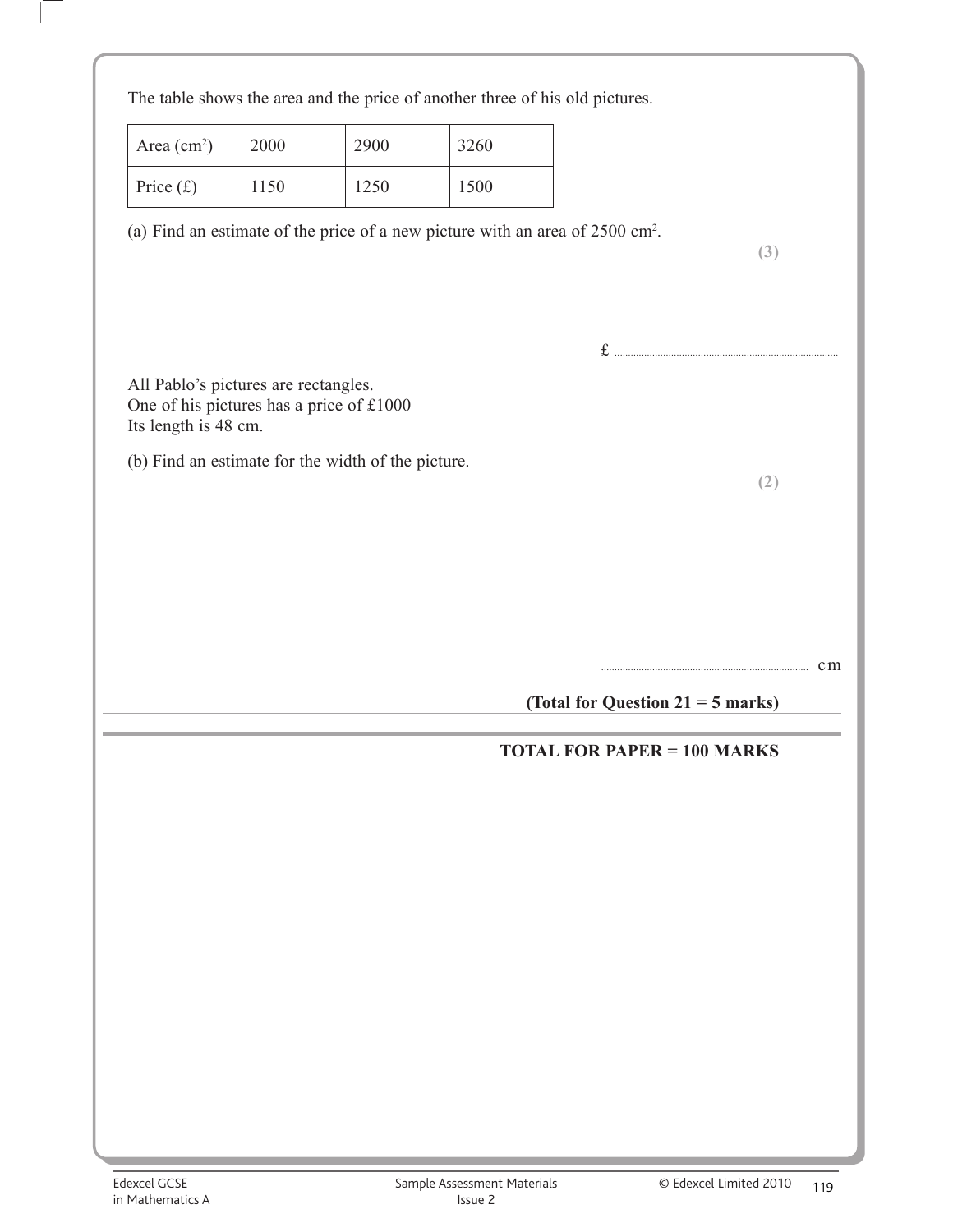| Area $(cm2)$                                                                                             | 2000 | 2900                                               | 3260                                                                                      |     |
|----------------------------------------------------------------------------------------------------------|------|----------------------------------------------------|-------------------------------------------------------------------------------------------|-----|
| Price $(f)$                                                                                              | 1150 | 1250                                               | 1500                                                                                      |     |
|                                                                                                          |      |                                                    | (a) Find an estimate of the price of a new picture with an area of 2500 cm <sup>2</sup> . | (3) |
|                                                                                                          |      |                                                    |                                                                                           |     |
| All Pablo's pictures are rectangles.<br>One of his pictures has a price of £1000<br>Its length is 48 cm. |      |                                                    |                                                                                           |     |
|                                                                                                          |      | (b) Find an estimate for the width of the picture. |                                                                                           | (2) |
|                                                                                                          |      |                                                    |                                                                                           |     |
|                                                                                                          |      |                                                    |                                                                                           |     |
|                                                                                                          |      |                                                    |                                                                                           |     |
|                                                                                                          |      |                                                    |                                                                                           |     |
|                                                                                                          |      |                                                    | (Total for Question $21 = 5$ marks)                                                       |     |
|                                                                                                          |      |                                                    | TOTAL FOR PAPER = 100 MARKS                                                               |     |
|                                                                                                          |      |                                                    |                                                                                           |     |
|                                                                                                          |      |                                                    |                                                                                           |     |
|                                                                                                          |      |                                                    |                                                                                           |     |
|                                                                                                          |      |                                                    |                                                                                           |     |
|                                                                                                          |      |                                                    |                                                                                           |     |
|                                                                                                          |      |                                                    |                                                                                           |     |
|                                                                                                          |      |                                                    |                                                                                           |     |
|                                                                                                          |      |                                                    |                                                                                           |     |

 $\overline{\phantom{a}}$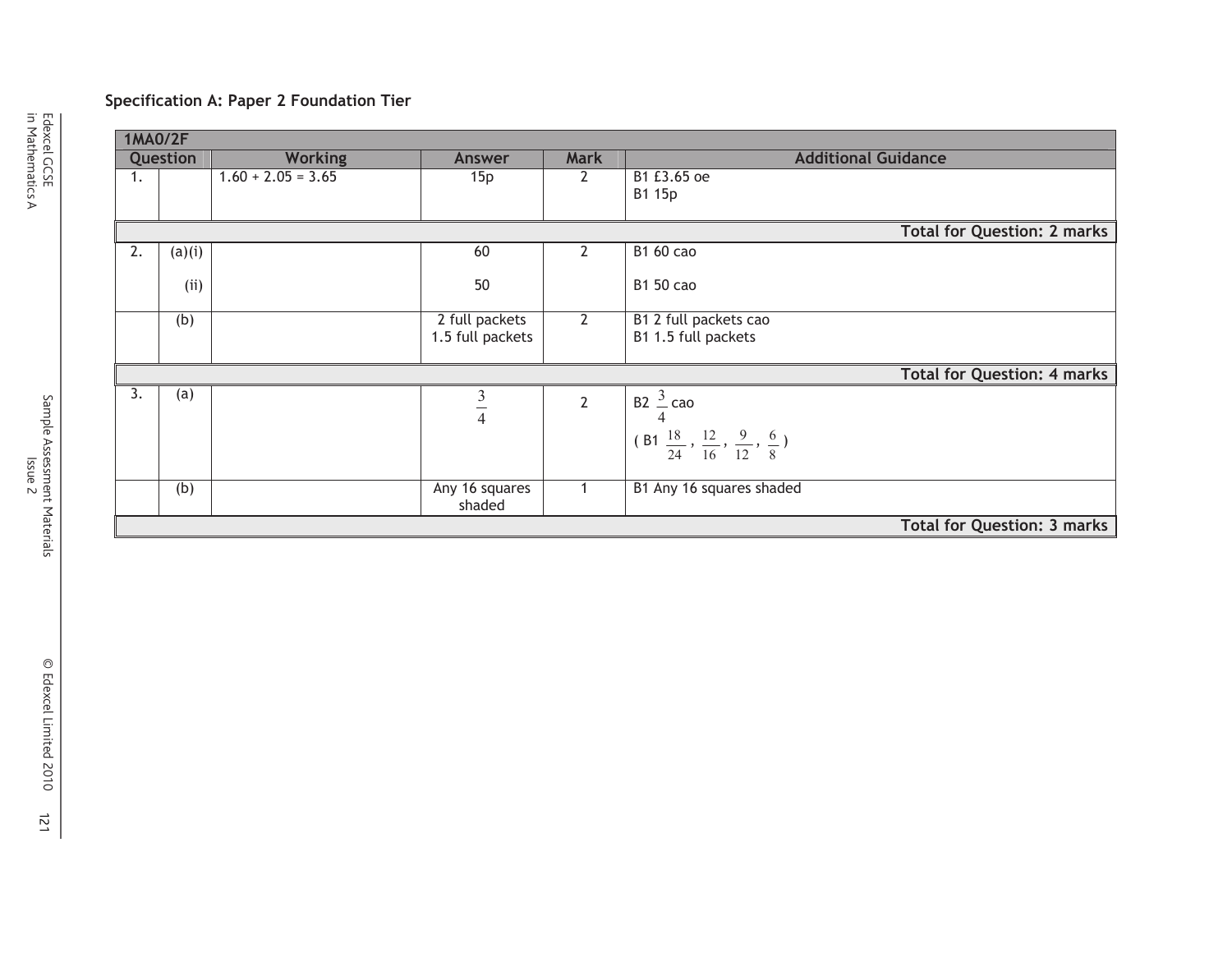# **Specification A: Paper 2 Foundation Tier**

|                  | <b>1MA0/2F</b>                     |                                    |                                    |                       |                                                                |  |
|------------------|------------------------------------|------------------------------------|------------------------------------|-----------------------|----------------------------------------------------------------|--|
|                  | Question                           | <b>Working</b>                     | Answer                             | <b>Mark</b>           | <b>Additional Guidance</b>                                     |  |
| 1.               |                                    | $1.60 + 2.05 = 3.65$               | 15p                                | 2                     | B1 £3.65 oe<br>B1 15p                                          |  |
|                  |                                    | <b>Total for Question: 2 marks</b> |                                    |                       |                                                                |  |
| 2.               | (a)(i)                             |                                    | 60                                 | $\mathbf{2}^{\prime}$ | <b>B1 60 cao</b>                                               |  |
|                  | (i)                                |                                    | 50                                 |                       | <b>B1 50 cao</b>                                               |  |
|                  | (b)                                |                                    | 2 full packets<br>1.5 full packets | $\mathbf{2}$          | B1 2 full packets cao<br>B1 1.5 full packets                   |  |
|                  | <b>Total for Question: 4 marks</b> |                                    |                                    |                       |                                                                |  |
| $\overline{3}$ . | (a)                                |                                    | $rac{3}{4}$                        | $\overline{2}$        | B2 $\frac{3}{2}$ cao<br>$\overline{4}$                         |  |
|                  |                                    |                                    |                                    |                       | $(B1 \frac{18}{24}, \frac{12}{16}, \frac{9}{12}, \frac{6}{8})$ |  |
|                  | (b)                                |                                    | Any 16 squares<br>shaded           |                       | B1 Any 16 squares shaded                                       |  |
|                  |                                    |                                    |                                    |                       | <b>Total for Question: 3 marks</b>                             |  |

Edexcel GCSE<br>in Mathematics A in Mathematics A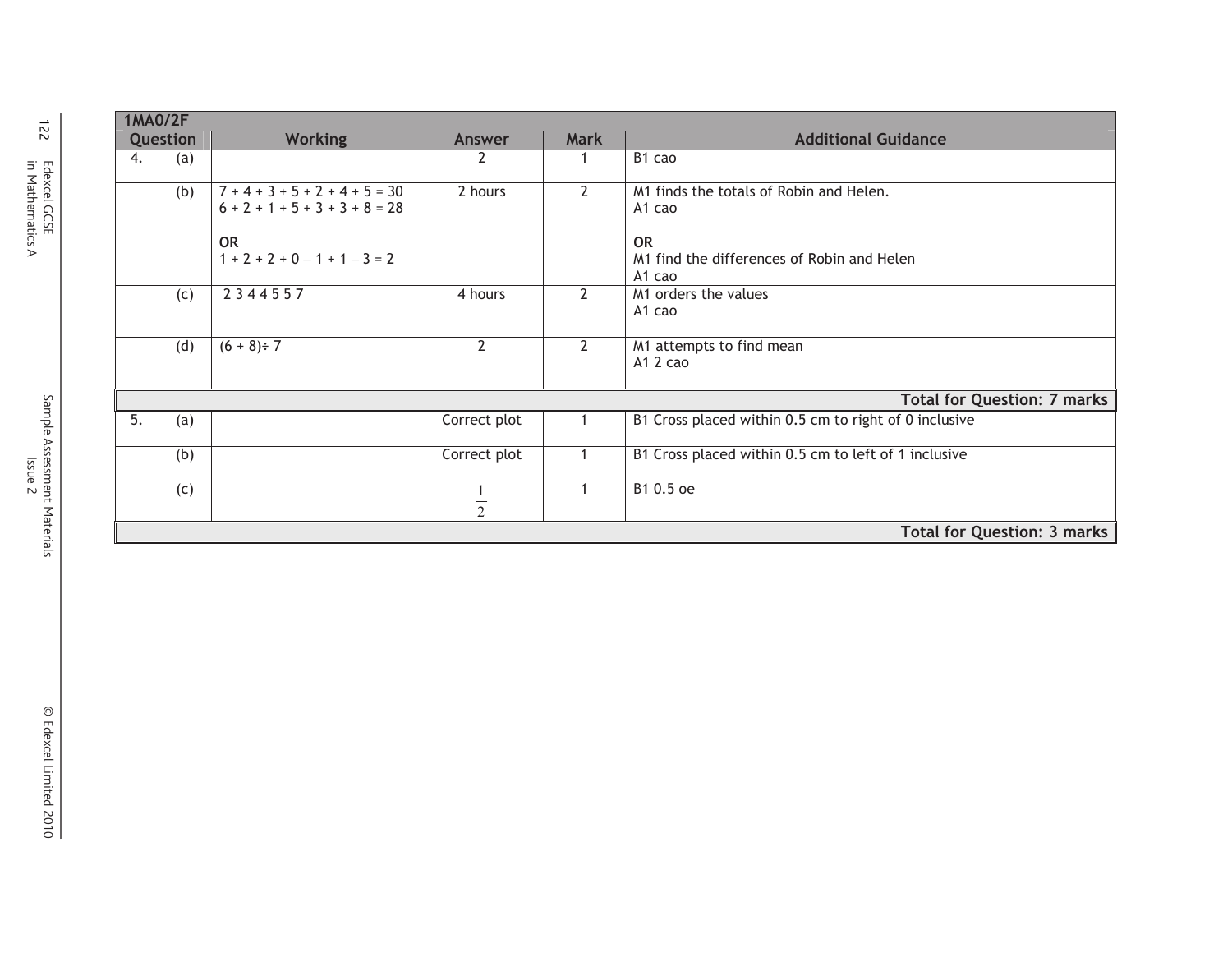| <b>122</b>                  | <b>1MA0/2F</b> |                 |                                                                      |                                           |                |                                                                   |  |
|-----------------------------|----------------|-----------------|----------------------------------------------------------------------|-------------------------------------------|----------------|-------------------------------------------------------------------|--|
|                             |                | <b>Question</b> | <b>Working</b>                                                       | <b>Answer</b>                             | <b>Mark</b>    | <b>Additional Guidance</b>                                        |  |
|                             | 4.             | (a)             |                                                                      | $\overline{2}$                            | $\mathbf{1}$   | B1 cao                                                            |  |
| Edexcel GCSE                |                | (b)             | $7 + 4 + 3 + 5 + 2 + 4 + 5 = 30$<br>$6 + 2 + 1 + 5 + 3 + 3 + 8 = 28$ | 2 hours                                   | $\overline{2}$ | M1 finds the totals of Robin and Helen.<br>A1 cao                 |  |
|                             |                |                 | <b>OR</b><br>$1 + 2 + 2 + 0 - 1 + 1 - 3 = 2$                         |                                           |                | <b>OR</b><br>M1 find the differences of Robin and Helen<br>A1 cao |  |
|                             |                | (c)             | 2344557                                                              | 4 hours                                   | $\overline{2}$ | M1 orders the values<br>A1 cao                                    |  |
|                             |                | (d)             | $(6 + 8) \div 7$                                                     | $\overline{2}$                            | $\overline{2}$ | M1 attempts to find mean<br>A1 2 cao                              |  |
|                             |                |                 |                                                                      |                                           |                | <b>Total for Question: 7 marks</b>                                |  |
|                             | 5.             | (a)             |                                                                      | Correct plot                              | $\mathbf{1}$   | B1 Cross placed within 0.5 cm to right of 0 inclusive             |  |
|                             |                | (b)             |                                                                      | Correct plot                              | $\mathbf{1}$   | B1 Cross placed within 0.5 cm to left of 1 inclusive              |  |
| Sample Assessment Materials |                | (c)             |                                                                      | $\mathbf{1}$<br>$\overline{\overline{2}}$ | $\mathbf{1}$   | B1 0.5 oe                                                         |  |
|                             |                |                 |                                                                      |                                           |                |                                                                   |  |
|                             |                |                 |                                                                      |                                           |                | <b>Total for Question: 3 marks</b>                                |  |
|                             |                |                 |                                                                      |                                           |                |                                                                   |  |
|                             |                |                 |                                                                      |                                           |                |                                                                   |  |
| © Edexcel Limited 2010      |                |                 |                                                                      |                                           |                |                                                                   |  |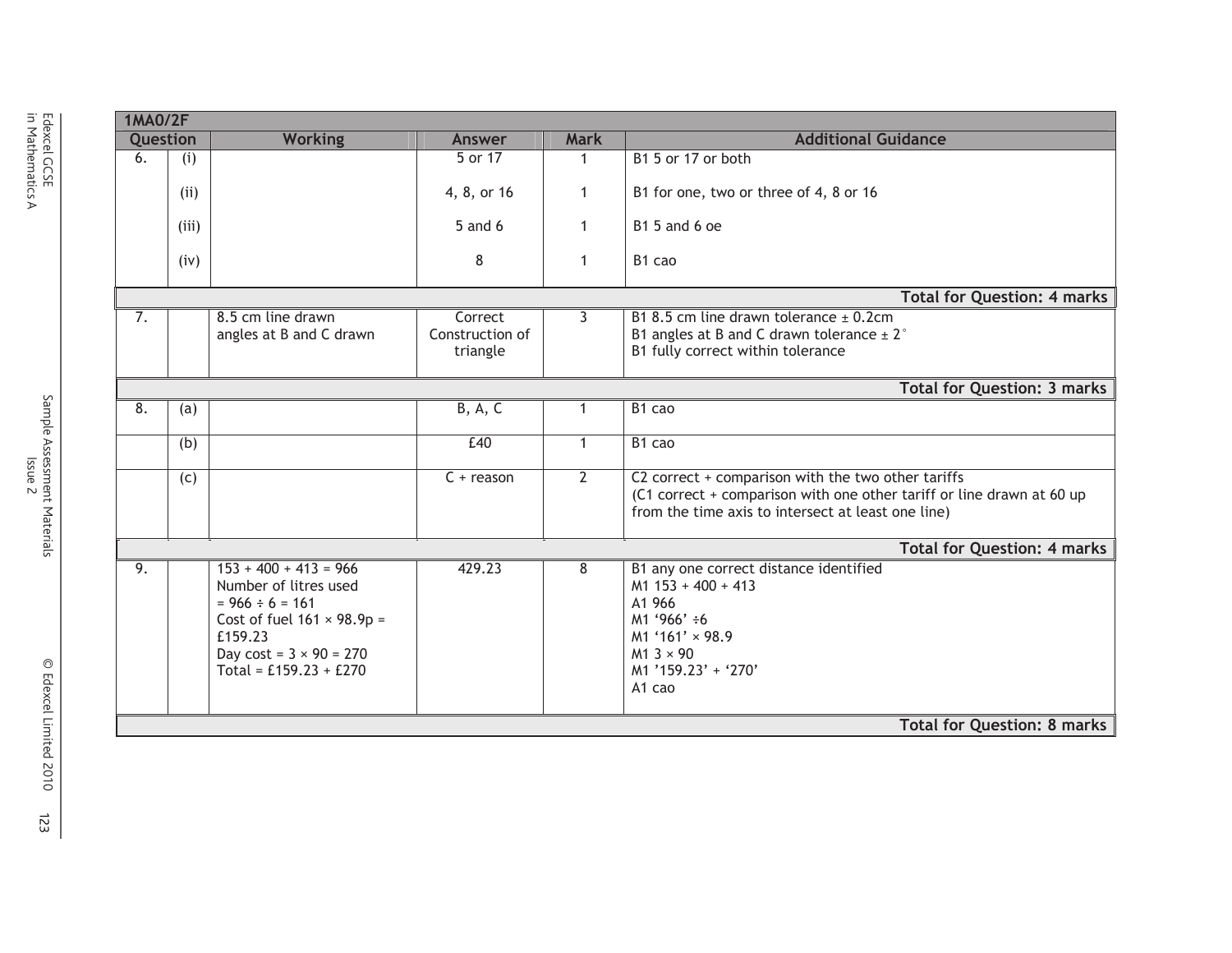| <b>1MA0/2F</b>   |       |                                                                                                                                                                                      |                                        |                |                                                                                                                                                                                                |
|------------------|-------|--------------------------------------------------------------------------------------------------------------------------------------------------------------------------------------|----------------------------------------|----------------|------------------------------------------------------------------------------------------------------------------------------------------------------------------------------------------------|
| Question         |       | <b>Working</b>                                                                                                                                                                       | Answer                                 | <b>Mark</b>    | <b>Additional Guidance</b>                                                                                                                                                                     |
| $\overline{6}$ . | (i)   |                                                                                                                                                                                      | 5 or 17                                | $\mathbf{1}$   | B1 5 or 17 or both                                                                                                                                                                             |
|                  | (ii)  |                                                                                                                                                                                      | 4, 8, or 16                            | $\mathbf{1}$   | B1 for one, two or three of 4, 8 or 16                                                                                                                                                         |
|                  | (iii) |                                                                                                                                                                                      | $5$ and $6$                            | $\mathbf{1}$   | <b>B1 5 and 6 oe</b>                                                                                                                                                                           |
|                  | (iv)  |                                                                                                                                                                                      | 8                                      | $\mathbf{1}$   | B <sub>1</sub> cao                                                                                                                                                                             |
|                  |       |                                                                                                                                                                                      |                                        |                | <b>Total for Question: 4 marks</b>                                                                                                                                                             |
| 7.               |       | 8.5 cm line drawn<br>angles at B and C drawn                                                                                                                                         | Correct<br>Construction of<br>triangle | 3              | B1 8.5 cm line drawn tolerance $\pm$ 0.2cm<br>B1 angles at B and C drawn tolerance $\pm 2^{\circ}$<br>B1 fully correct within tolerance                                                        |
|                  |       |                                                                                                                                                                                      |                                        |                | <b>Total for Question: 3 marks</b>                                                                                                                                                             |
| 8.               | (a)   |                                                                                                                                                                                      | B, A, C                                | $\mathbf{1}$   | B1 cao                                                                                                                                                                                         |
|                  | (b)   |                                                                                                                                                                                      | E40                                    | $\mathbf{1}$   | B1 cao                                                                                                                                                                                         |
|                  | (c)   |                                                                                                                                                                                      | $C + reason$                           | $\overline{2}$ | $\overline{C2}$ correct + comparison with the two other tariffs<br>(C1 correct + comparison with one other tariff or line drawn at 60 up<br>from the time axis to intersect at least one line) |
|                  |       |                                                                                                                                                                                      |                                        |                | <b>Total for Question: 4 marks</b>                                                                                                                                                             |
| $\overline{9}$ . |       | $153 + 400 + 413 = 966$<br>Number of litres used<br>$= 966 \div 6 = 161$<br>Cost of fuel $161 \times 98.9p =$<br>£159.23<br>Day cost = $3 \times 90 = 270$<br>Total = £159.23 + £270 | 429.23                                 | 8              | B1 any one correct distance identified<br>$M1 153 + 400 + 413$<br>A1 966<br>$M1'966' \div 6$<br>M1 '161' × 98.9<br>$M1$ 3 $\times$ 90<br>M1 '159.23' + '270'<br>A1 cao                         |
|                  |       |                                                                                                                                                                                      |                                        |                | <b>Total for Question: 8 marks</b>                                                                                                                                                             |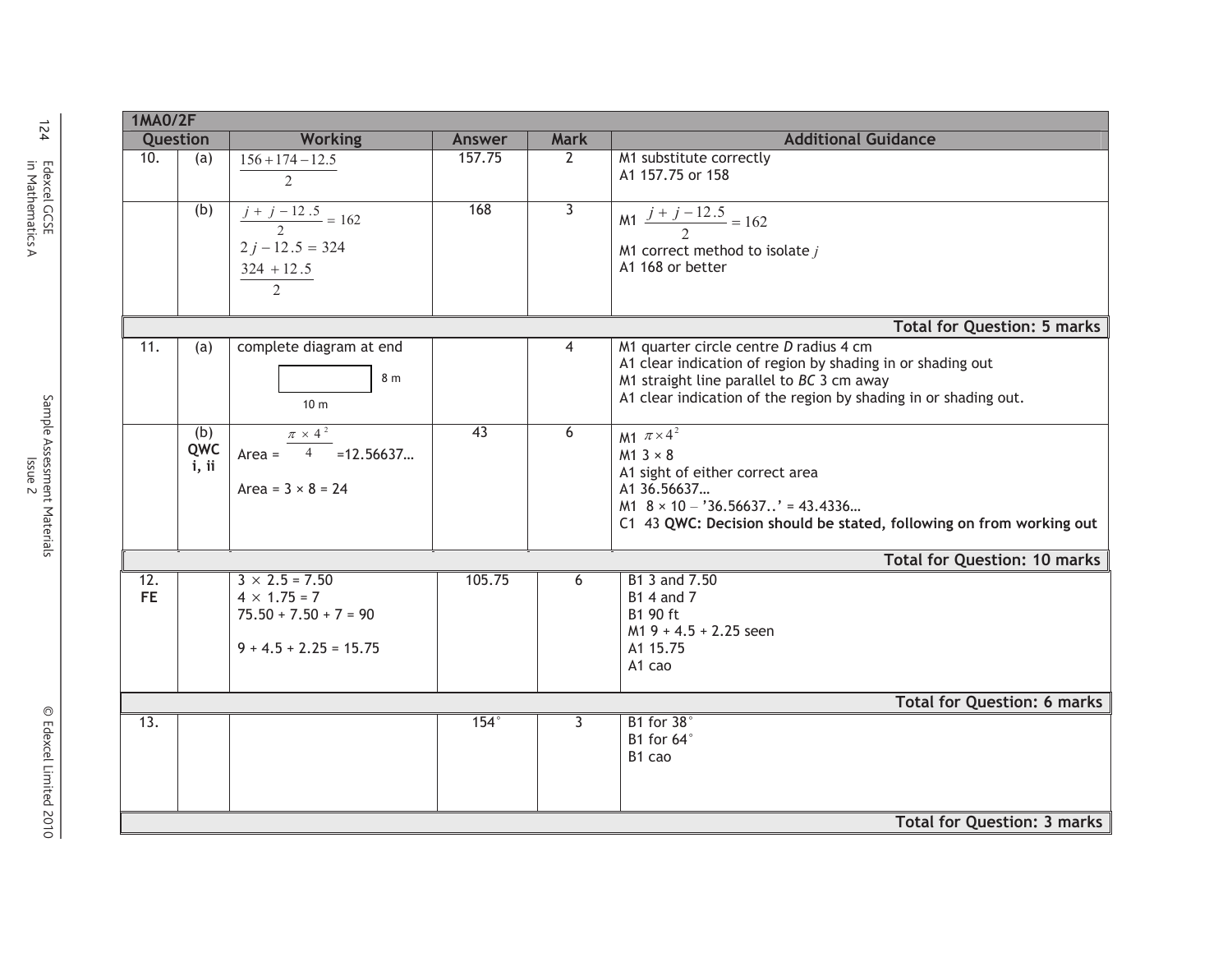|                  |                     | <b>Working</b>                                                                                      | Answer      | <b>Mark</b>                         | <b>Additional Guidance</b>                                                                                                                                                                                           |
|------------------|---------------------|-----------------------------------------------------------------------------------------------------|-------------|-------------------------------------|----------------------------------------------------------------------------------------------------------------------------------------------------------------------------------------------------------------------|
| 10.              | (a)                 | $156 + 174 - 12.5$<br>$\overline{2}$                                                                | 157.75      | $\mathbf{2}^{\prime}$               | M1 substitute correctly<br>A1 157.75 or 158                                                                                                                                                                          |
|                  | (b)                 | $\frac{j+j-12.5}{2} = 162$<br>$2 j - 12.5 = 324$<br>$324 + 12.5$<br>$\mathfrak{D}$                  | 168         | 3                                   | M1 $\frac{j+j-12.5}{2} = 162$<br>M1 correct method to isolate $j$<br>A1 168 or better                                                                                                                                |
|                  |                     |                                                                                                     |             |                                     | <b>Total for Question: 5 marks</b>                                                                                                                                                                                   |
| 11.              | (a)                 | complete diagram at end<br>8 m<br>10 <sub>m</sub>                                                   |             | 4                                   | M1 quarter circle centre D radius 4 cm<br>A1 clear indication of region by shading in or shading out<br>M1 straight line parallel to BC 3 cm away<br>A1 clear indication of the region by shading in or shading out. |
|                  | (b)<br>QWC<br>i, ii | $\pi \times 4^2$<br>$\overline{4}$<br>$=12.56637$<br>$Area =$<br>Area = $3 \times 8 = 24$           | 43          | 6                                   | M1 $\pi \times 4^2$<br>$M13 \times 8$<br>A1 sight of either correct area<br>A1 36.56637<br>$M1 \ 8 \times 10 - 36.56637$ ' = 43.4336<br>C1 43 QWC: Decision should be stated, following on from working out          |
|                  |                     |                                                                                                     |             | <b>Total for Question: 10 marks</b> |                                                                                                                                                                                                                      |
| 12.<br><b>FE</b> |                     | $3 \times 2.5 = 7.50$<br>$4 \times 1.75 = 7$<br>$75.50 + 7.50 + 7 = 90$<br>$9 + 4.5 + 2.25 = 15.75$ | 105.75      | 6                                   | B1 3 and 7.50<br><b>B1 4 and 7</b><br>B1 90 ft<br>$M19 + 4.5 + 2.25$ seen<br>A1 15.75<br>A1 cao                                                                                                                      |
|                  |                     |                                                                                                     |             |                                     | <b>Total for Question: 6 marks</b>                                                                                                                                                                                   |
| 13.              |                     |                                                                                                     | $154^\circ$ | 3                                   | B1 for 38°<br>B1 for 64°<br>B1 cao                                                                                                                                                                                   |
|                  |                     |                                                                                                     |             |                                     | <b>Total for Question: 3 marks</b>                                                                                                                                                                                   |
|                  |                     | <b>1MA0/2F</b><br>Question                                                                          |             |                                     |                                                                                                                                                                                                                      |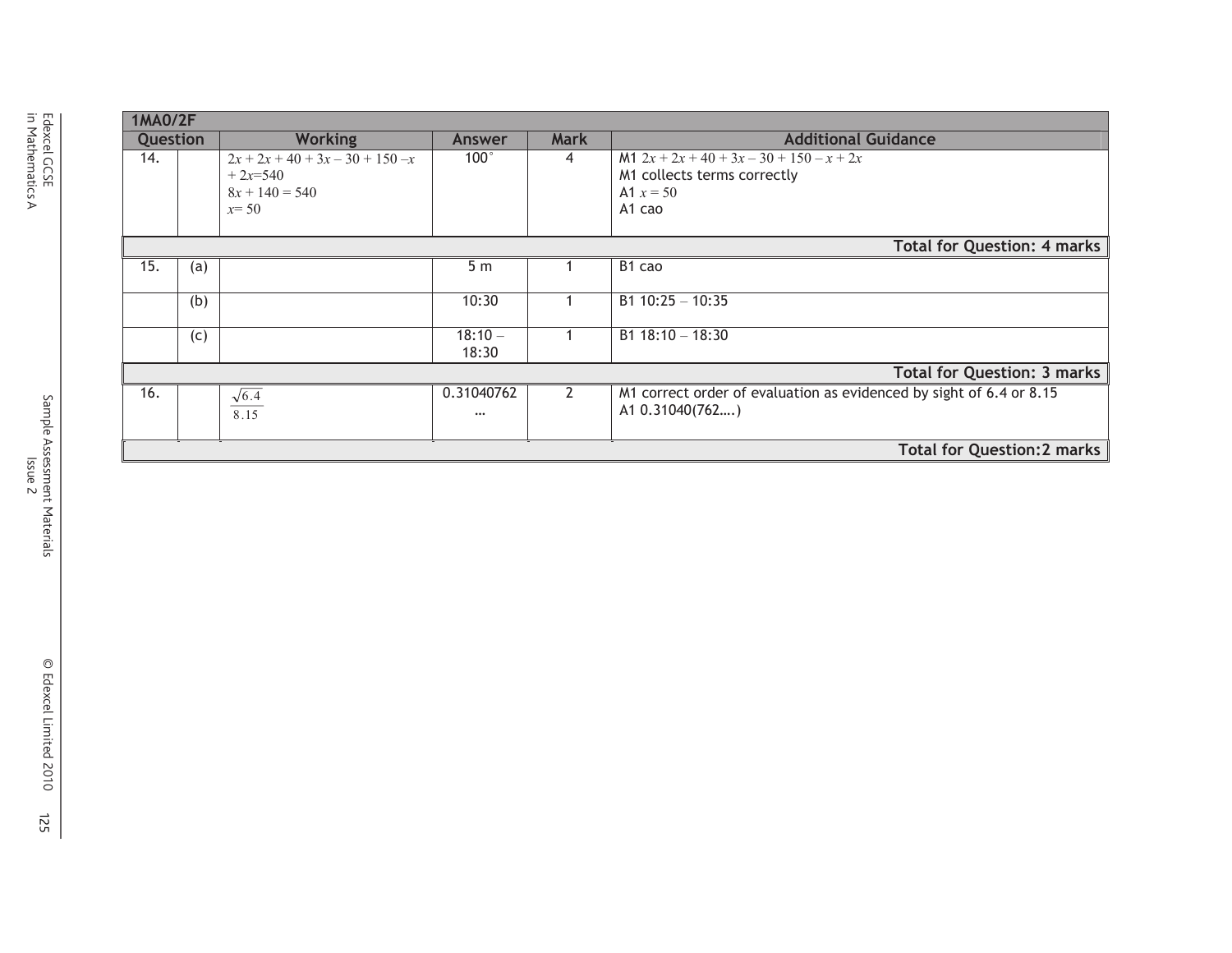|          | <b>1MA0/2F</b>                     |                                                                               |                        |                |                                                                                                    |  |  |  |  |
|----------|------------------------------------|-------------------------------------------------------------------------------|------------------------|----------------|----------------------------------------------------------------------------------------------------|--|--|--|--|
| Question |                                    | <b>Working</b>                                                                | Answer                 | <b>Mark</b>    | <b>Additional Guidance</b>                                                                         |  |  |  |  |
| 14.      |                                    | $2x + 2x + 40 + 3x - 30 + 150 - x$<br>$+2x=540$<br>$8x + 140 = 540$<br>$x=50$ | $100^\circ$            | 4              | M1 $2x + 2x + 40 + 3x - 30 + 150 - x + 2x$<br>M1 collects terms correctly<br>A1 $x = 50$<br>A1 cao |  |  |  |  |
|          |                                    |                                                                               |                        |                | <b>Total for Question: 4 marks</b>                                                                 |  |  |  |  |
| 15.      | (a)                                |                                                                               | 5 <sub>m</sub>         |                | B <sub>1</sub> cao                                                                                 |  |  |  |  |
|          | (b)                                |                                                                               | 10:30                  |                | $B1 10:25 - 10:35$                                                                                 |  |  |  |  |
|          | (c)                                |                                                                               | $18:10 -$<br>18:30     |                | B1 $18:10 - 18:30$                                                                                 |  |  |  |  |
|          |                                    |                                                                               |                        |                | <b>Total for Question: 3 marks</b>                                                                 |  |  |  |  |
| 16.      |                                    | $\sqrt{6.4}$<br>8.15                                                          | 0.31040762<br>$\cdots$ | $\overline{2}$ | M1 correct order of evaluation as evidenced by sight of 6.4 or 8.15<br>A1 0.31040(762)             |  |  |  |  |
|          | <b>Total for Question: 2 marks</b> |                                                                               |                        |                |                                                                                                    |  |  |  |  |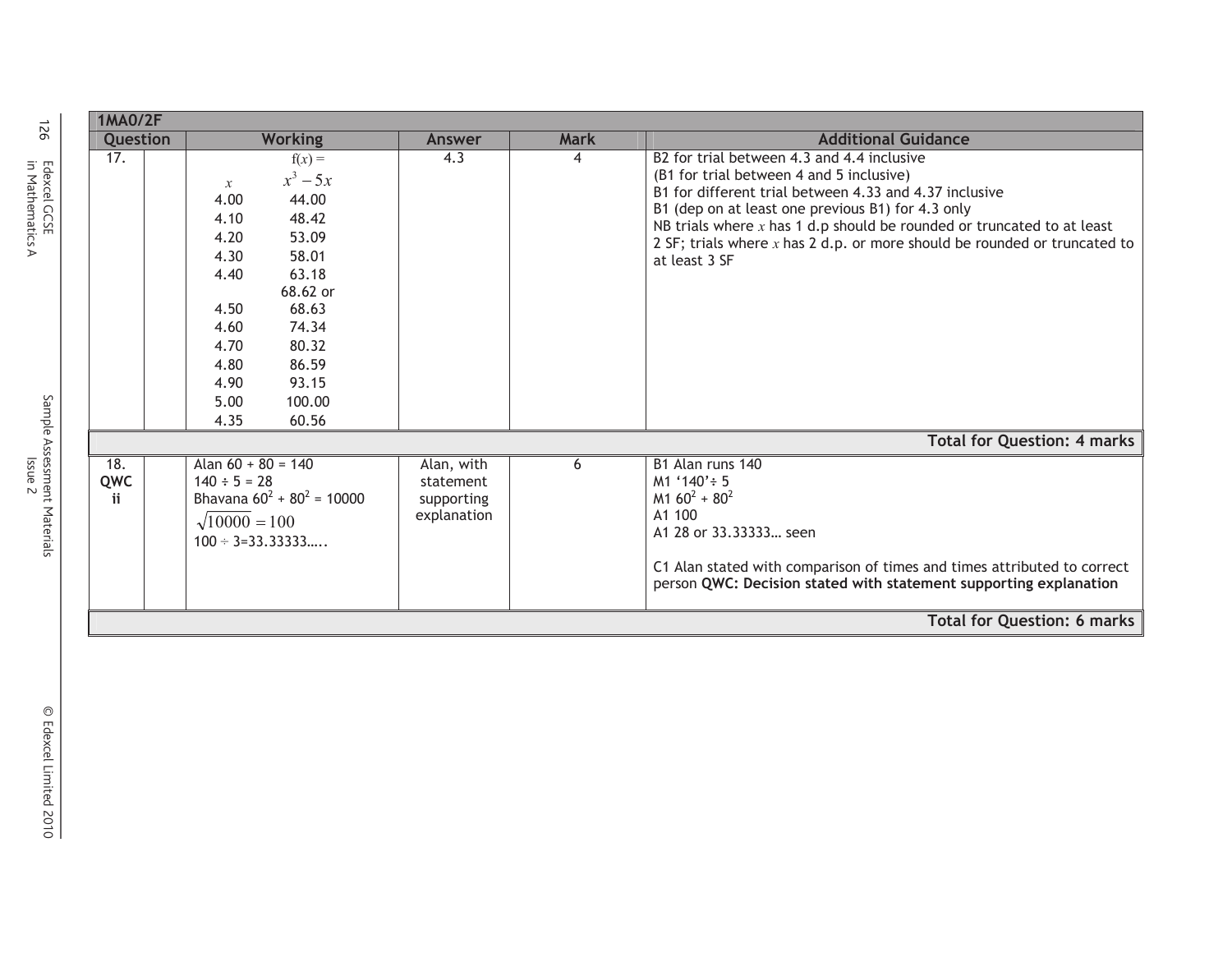| 126                         | <b>1MA0/2F</b>                  |                                                                                                                                                                                                                                                                |                                                      |                |                                                                                                                                                                                                                                                                                                                                                                                   |  |  |  |  |  |  |
|-----------------------------|---------------------------------|----------------------------------------------------------------------------------------------------------------------------------------------------------------------------------------------------------------------------------------------------------------|------------------------------------------------------|----------------|-----------------------------------------------------------------------------------------------------------------------------------------------------------------------------------------------------------------------------------------------------------------------------------------------------------------------------------------------------------------------------------|--|--|--|--|--|--|
|                             | Question                        | <b>Working</b>                                                                                                                                                                                                                                                 | Answer                                               | <b>Mark</b>    | <b>Additional Guidance</b>                                                                                                                                                                                                                                                                                                                                                        |  |  |  |  |  |  |
| Edexcel GCSE                | $\overline{17}$ .               | $f(x) =$<br>$x^3-5x$<br>$\mathcal{X}$<br>4.00<br>44.00<br>4.10<br>48.42<br>4.20<br>53.09<br>58.01<br>4.30<br>4.40<br>63.18<br>68.62 or<br>68.63<br>4.50<br>74.34<br>4.60<br>80.32<br>4.70<br>86.59<br>4.80<br>4.90<br>93.15<br>5.00<br>100.00<br>60.56<br>4.35 | $\overline{4.3}$                                     | $\overline{4}$ | B2 for trial between 4.3 and 4.4 inclusive<br>(B1 for trial between 4 and 5 inclusive)<br>B1 for different trial between 4.33 and 4.37 inclusive<br>B1 (dep on at least one previous B1) for 4.3 only<br>NB trials where $x$ has 1 d.p should be rounded or truncated to at least<br>2 SF; trials where $x$ has 2 d.p. or more should be rounded or truncated to<br>at least 3 SF |  |  |  |  |  |  |
|                             |                                 | <b>Total for Question: 4 marks</b>                                                                                                                                                                                                                             |                                                      |                |                                                                                                                                                                                                                                                                                                                                                                                   |  |  |  |  |  |  |
| Sample Assessment Materials | $\overline{18}$ .<br>QWC<br>ii. | Alan $60 + 80 = 140$<br>$140 \div 5 = 28$<br>Bhavana $60^2 + 80^2 = 10000$<br>$\sqrt{10000}$ = 100<br>$100 \div 3 = 33.33333$                                                                                                                                  | Alan, with<br>statement<br>supporting<br>explanation | 6              | B1 Alan runs 140<br>M1 '140' ÷ 5<br>$M1 60^2 + 80^2$<br>A1 100<br>A1 28 or 33.33333 seen<br>C1 Alan stated with comparison of times and times attributed to correct<br>person QWC: Decision stated with statement supporting explanation                                                                                                                                          |  |  |  |  |  |  |
|                             |                                 |                                                                                                                                                                                                                                                                |                                                      |                | <b>Total for Question: 6 marks</b>                                                                                                                                                                                                                                                                                                                                                |  |  |  |  |  |  |
| © Edexcel Limited 2010      |                                 |                                                                                                                                                                                                                                                                |                                                      |                |                                                                                                                                                                                                                                                                                                                                                                                   |  |  |  |  |  |  |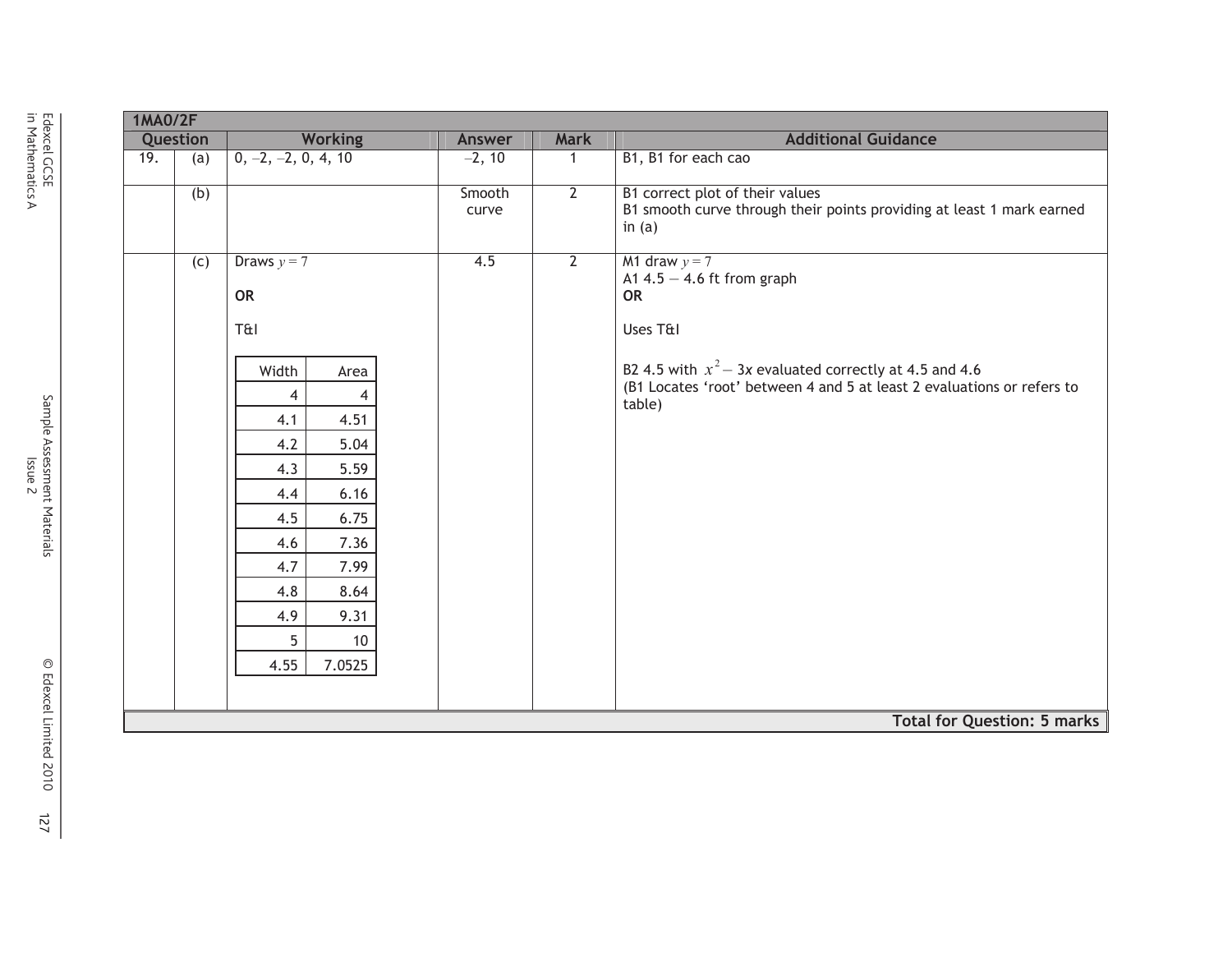|     | <b>1MA0/2F</b> |                                                                                                                                                                                                                                  |                 |                |                                                                                                                                                                                                                           |  |  |  |
|-----|----------------|----------------------------------------------------------------------------------------------------------------------------------------------------------------------------------------------------------------------------------|-----------------|----------------|---------------------------------------------------------------------------------------------------------------------------------------------------------------------------------------------------------------------------|--|--|--|
|     | Question       | <b>Working</b>                                                                                                                                                                                                                   | Answer          | <b>Mark</b>    | <b>Additional Guidance</b>                                                                                                                                                                                                |  |  |  |
| 19. | (a)            | $0, -2, -2, 0, 4, 10$                                                                                                                                                                                                            | $-2, 10$        | $\mathbf{1}$   | B1, B1 for each cao                                                                                                                                                                                                       |  |  |  |
|     | (b)            |                                                                                                                                                                                                                                  | Smooth<br>curve | $\overline{2}$ | B1 correct plot of their values<br>B1 smooth curve through their points providing at least 1 mark earned<br>in $(a)$                                                                                                      |  |  |  |
|     | $\overline{c}$ | Draws $y = 7$<br><b>OR</b><br>T&I<br>Width<br>Area<br>4<br>4<br>4.51<br>4.1<br>4.2<br>5.04<br>4.3<br>5.59<br>4.4<br>6.16<br>4.5<br>6.75<br>7.36<br>4.6<br>7.99<br>4.7<br>4.8<br>8.64<br>9.31<br>4.9<br>5<br>10<br>7.0525<br>4.55 | 4.5             | $\overline{2}$ | M1 draw $y = 7$<br>A1 $4.5 - 4.6$ ft from graph<br><b>OR</b><br>Uses T&I<br>B2 4.5 with $x^2$ – 3x evaluated correctly at 4.5 and 4.6<br>(B1 Locates 'root' between 4 and 5 at least 2 evaluations or refers to<br>table) |  |  |  |
|     |                |                                                                                                                                                                                                                                  |                 |                | <b>Total for Question: 5 marks</b>                                                                                                                                                                                        |  |  |  |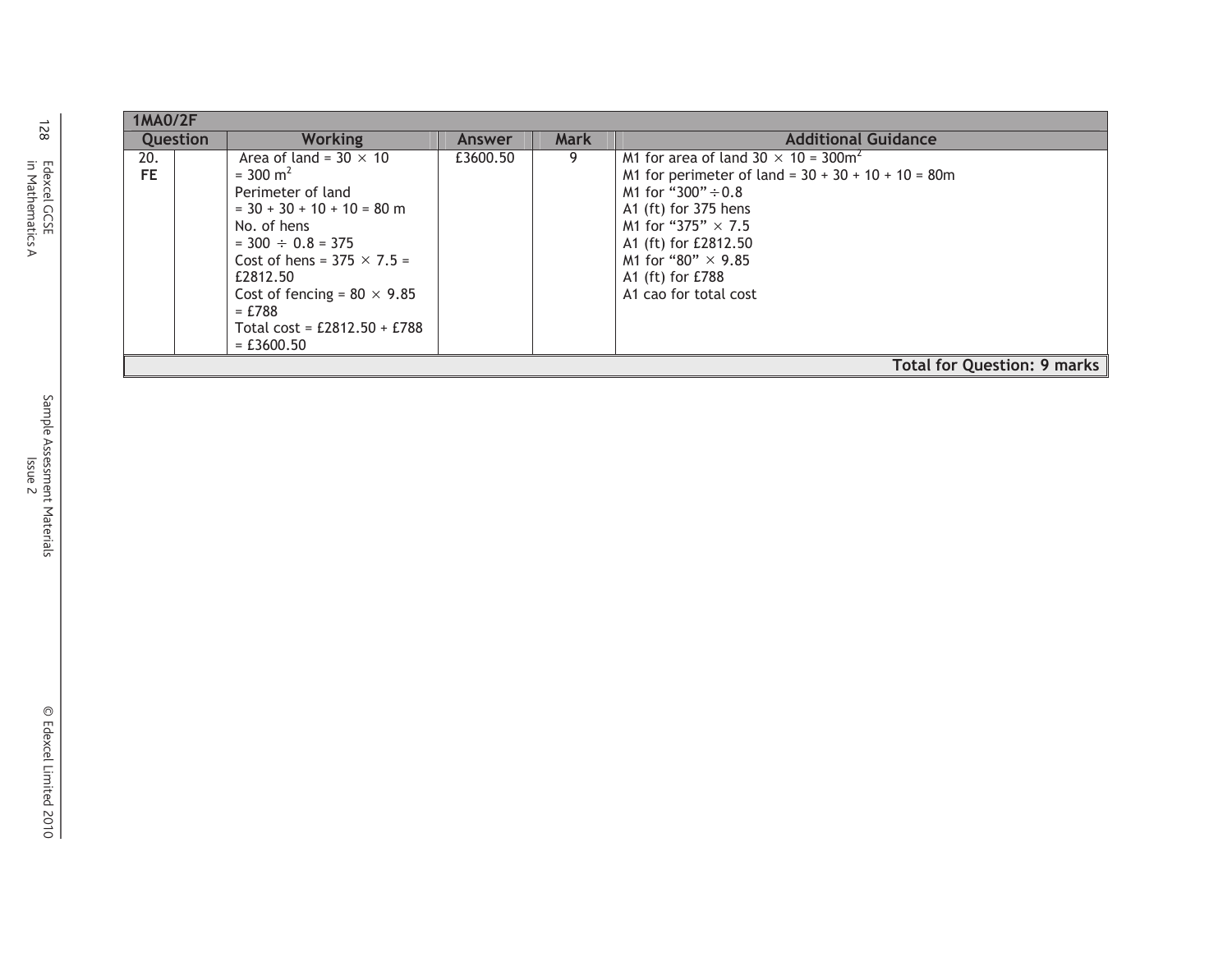|                             | <b>1MA0/2F</b>                 |                                                                                                                                                                                                                                                                                                         |               |                |                                                                                                                                                                                                                                                                                                    |
|-----------------------------|--------------------------------|---------------------------------------------------------------------------------------------------------------------------------------------------------------------------------------------------------------------------------------------------------------------------------------------------------|---------------|----------------|----------------------------------------------------------------------------------------------------------------------------------------------------------------------------------------------------------------------------------------------------------------------------------------------------|
| 128                         | Question                       | <b>Working</b>                                                                                                                                                                                                                                                                                          | <b>Answer</b> | <b>Mark</b>    | <b>Additional Guidance</b>                                                                                                                                                                                                                                                                         |
| Edexcel GCSE                | $\overline{20}$ .<br><b>FE</b> | Area of land = $30 \times 10$<br>$= 300 \text{ m}^2$<br>Perimeter of land<br>$=$ 30 + 30 + 10 + 10 = 80 m<br>No. of hens<br>$= 300 \div 0.8 = 375$<br>Cost of hens = $375 \times 7.5$ =<br>£2812.50<br>Cost of fencing = $80 \times 9.85$<br>$= £788$<br>Total $cost = £2812.50 + £788$<br>$= £3600.50$ | £3600.50      | $\overline{9}$ | M1 for area of land $30 \times 10 = 300$ m <sup>2</sup><br>M1 for perimeter of land = $30 + 30 + 10 + 10 = 80$ m<br>M1 for "300" $\div$ 0.8<br>A1 (ft) for 375 hens<br>M1 for "375" $\times$ 7.5<br>A1 (ft) for £2812.50<br>M1 for "80" $\times$ 9.85<br>A1 (ft) for £788<br>A1 cao for total cost |
|                             |                                |                                                                                                                                                                                                                                                                                                         |               |                | <b>Total for Question: 9 marks</b>                                                                                                                                                                                                                                                                 |
| Sample Assessment Materials |                                |                                                                                                                                                                                                                                                                                                         |               |                |                                                                                                                                                                                                                                                                                                    |
| © Edexcel Limited 2010      |                                |                                                                                                                                                                                                                                                                                                         |               |                |                                                                                                                                                                                                                                                                                                    |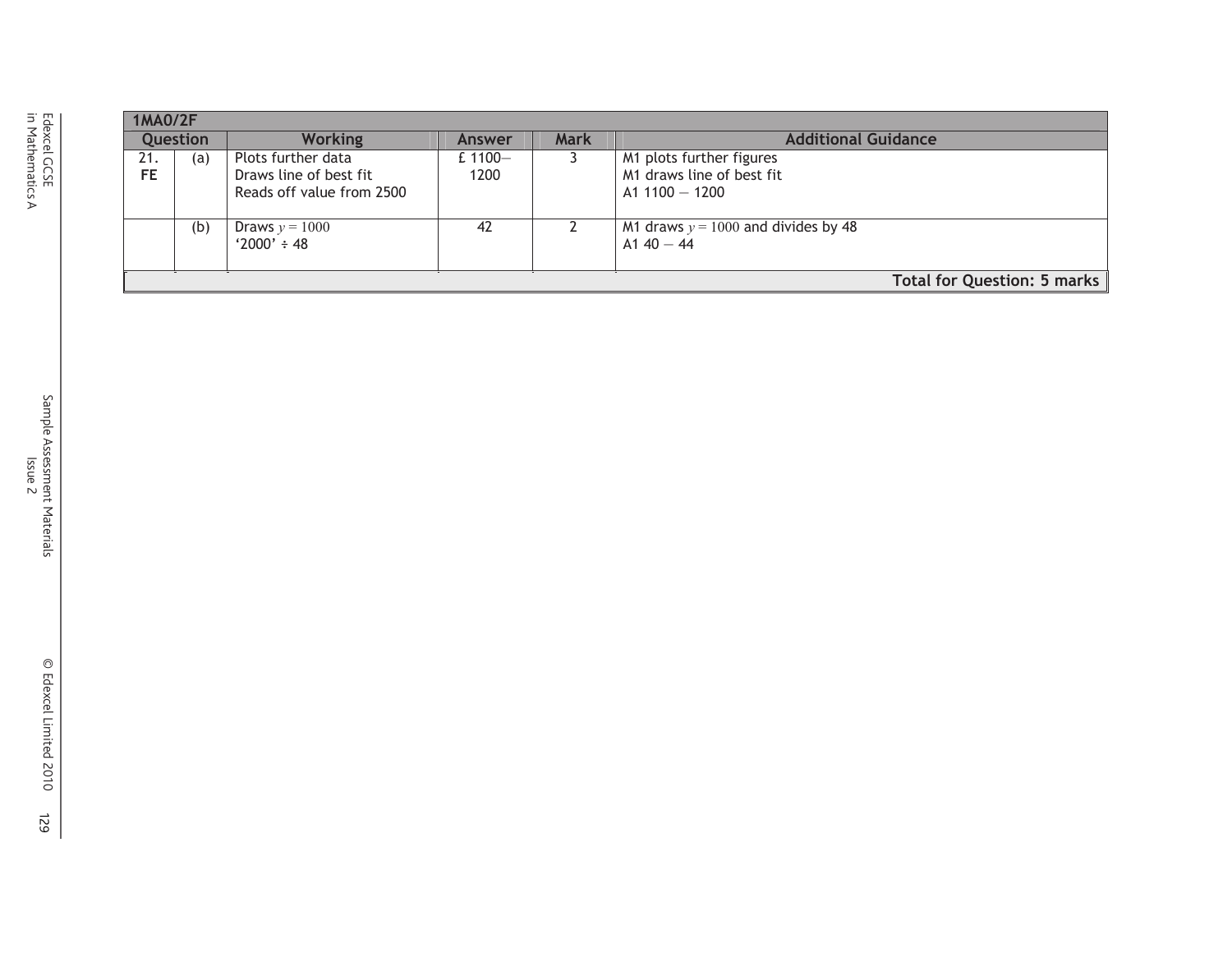|            | <b>1MA0/2F</b>                     |                                                                           |                    |      |                                                                           |  |  |  |  |
|------------|------------------------------------|---------------------------------------------------------------------------|--------------------|------|---------------------------------------------------------------------------|--|--|--|--|
|            | <b>Question</b>                    | <b>Working</b>                                                            | Answer             | Mark | <b>Additional Guidance</b>                                                |  |  |  |  |
| 21.<br>FE. | (a)                                | Plots further data<br>Draws line of best fit<br>Reads off value from 2500 | £ 1100 $-$<br>1200 |      | M1 plots further figures<br>M1 draws line of best fit<br>$A1 1100 - 1200$ |  |  |  |  |
|            | (b)                                | Draws $y = 1000$<br>$'2000' \div 48$                                      | 42                 |      | M1 draws $y = 1000$ and divides by 48<br>A1 $40 - 44$                     |  |  |  |  |
|            | <b>Total for Question: 5 marks</b> |                                                                           |                    |      |                                                                           |  |  |  |  |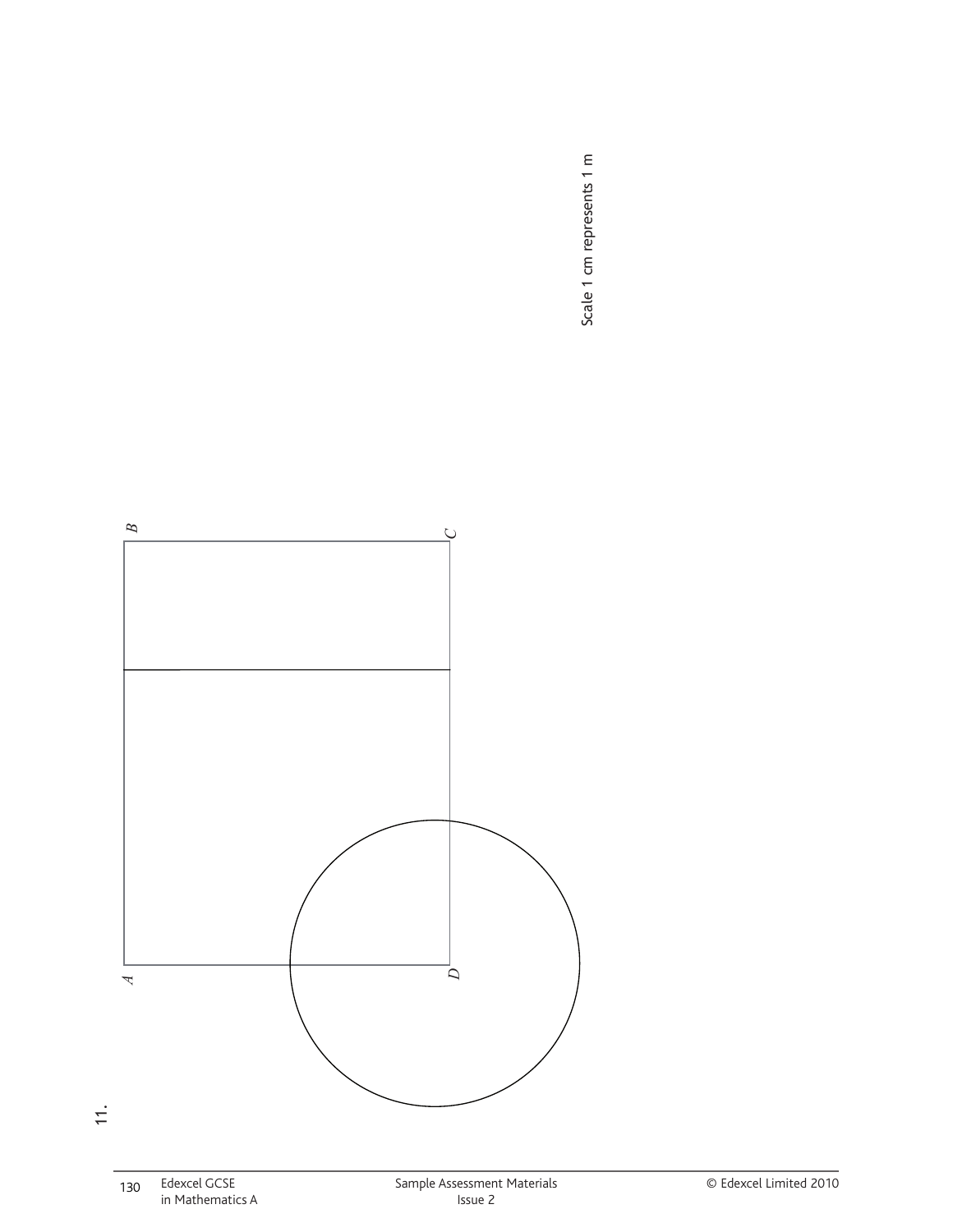Scale 1 cm represents 1 m Scale 1 cm represents 1 m

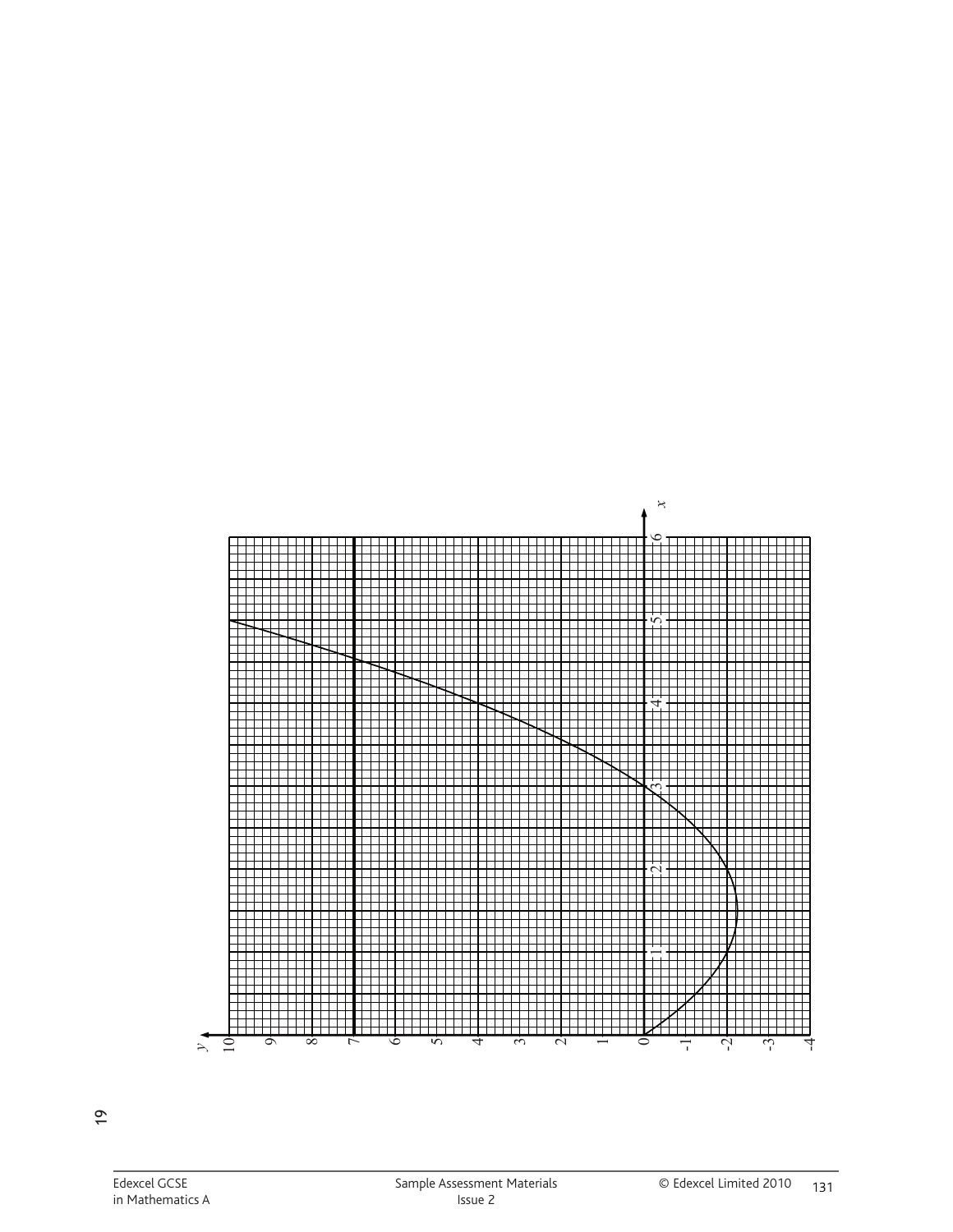